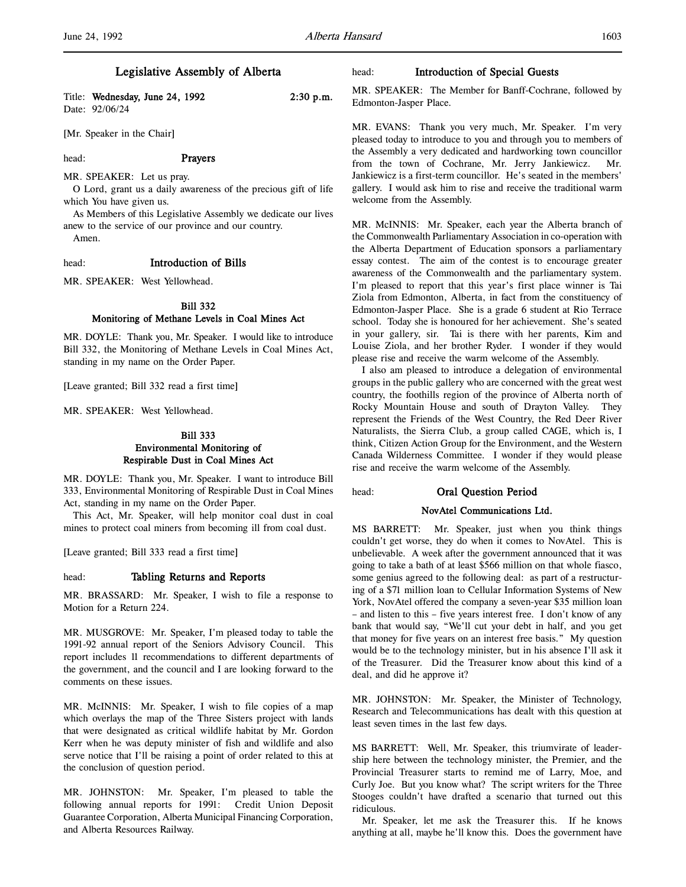Title: Wednesday, June 24, 1992 2:30 p.m. Date: 92/06/24

[Mr. Speaker in the Chair]

head: **Prayers** 

MR. SPEAKER: Let us pray.

O Lord, grant us a daily awareness of the precious gift of life which You have given us.

As Members of this Legislative Assembly we dedicate our lives anew to the service of our province and our country.

Amen.

#### head: Introduction of Bills

MR. SPEAKER: West Yellowhead.

# Bill 332 Monitoring of Methane Levels in Coal Mines Act

MR. DOYLE: Thank you, Mr. Speaker. I would like to introduce Bill 332, the Monitoring of Methane Levels in Coal Mines Act, standing in my name on the Order Paper.

[Leave granted; Bill 332 read a first time]

MR. SPEAKER: West Yellowhead.

# Bill 333 Environmental Monitoring of Respirable Dust in Coal Mines Act

MR. DOYLE: Thank you, Mr. Speaker. I want to introduce Bill 333, Environmental Monitoring of Respirable Dust in Coal Mines Act, standing in my name on the Order Paper.

This Act, Mr. Speaker, will help monitor coal dust in coal mines to protect coal miners from becoming ill from coal dust.

[Leave granted; Bill 333 read a first time]

### head: Tabling Returns and Reports

MR. BRASSARD: Mr. Speaker, I wish to file a response to Motion for a Return 224.

MR. MUSGROVE: Mr. Speaker, I'm pleased today to table the 1991-92 annual report of the Seniors Advisory Council. This report includes 11 recommendations to different departments of the government, and the council and I are looking forward to the comments on these issues.

MR. McINNIS: Mr. Speaker, I wish to file copies of a map which overlays the map of the Three Sisters project with lands that were designated as critical wildlife habitat by Mr. Gordon Kerr when he was deputy minister of fish and wildlife and also serve notice that I'll be raising a point of order related to this at the conclusion of question period.

MR. JOHNSTON: Mr. Speaker, I'm pleased to table the following annual reports for 1991: Credit Union Deposit Guarantee Corporation, Alberta Municipal Financing Corporation, and Alberta Resources Railway.

### head: Introduction of Special Guests

MR. SPEAKER: The Member for Banff-Cochrane, followed by Edmonton-Jasper Place.

MR. EVANS: Thank you very much, Mr. Speaker. I'm very pleased today to introduce to you and through you to members of the Assembly a very dedicated and hardworking town councillor from the town of Cochrane, Mr. Jerry Jankiewicz. Mr. Jankiewicz is a first-term councillor. He's seated in the members' gallery. I would ask him to rise and receive the traditional warm welcome from the Assembly.

MR. McINNIS: Mr. Speaker, each year the Alberta branch of the Commonwealth Parliamentary Association in co-operation with the Alberta Department of Education sponsors a parliamentary essay contest. The aim of the contest is to encourage greater awareness of the Commonwealth and the parliamentary system. I'm pleased to report that this year's first place winner is Tai Ziola from Edmonton, Alberta, in fact from the constituency of Edmonton-Jasper Place. She is a grade 6 student at Rio Terrace school. Today she is honoured for her achievement. She's seated in your gallery, sir. Tai is there with her parents, Kim and Louise Ziola, and her brother Ryder. I wonder if they would please rise and receive the warm welcome of the Assembly.

I also am pleased to introduce a delegation of environmental groups in the public gallery who are concerned with the great west country, the foothills region of the province of Alberta north of Rocky Mountain House and south of Drayton Valley. They represent the Friends of the West Country, the Red Deer River Naturalists, the Sierra Club, a group called CAGE, which is, I think, Citizen Action Group for the Environment, and the Western Canada Wilderness Committee. I wonder if they would please rise and receive the warm welcome of the Assembly.

head: Oral Question Period

# NovAtel Communications Ltd.

MS BARRETT: Mr. Speaker, just when you think things couldn't get worse, they do when it comes to NovAtel. This is unbelievable. A week after the government announced that it was going to take a bath of at least \$566 million on that whole fiasco, some genius agreed to the following deal: as part of a restructuring of a \$71 million loan to Cellular Information Systems of New York, NovAtel offered the company a seven-year \$35 million loan – and listen to this – five years interest free. I don't know of any bank that would say, "We'll cut your debt in half, and you get that money for five years on an interest free basis." My question would be to the technology minister, but in his absence I'll ask it of the Treasurer. Did the Treasurer know about this kind of a deal, and did he approve it?

MR. JOHNSTON: Mr. Speaker, the Minister of Technology, Research and Telecommunications has dealt with this question at least seven times in the last few days.

MS BARRETT: Well, Mr. Speaker, this triumvirate of leadership here between the technology minister, the Premier, and the Provincial Treasurer starts to remind me of Larry, Moe, and Curly Joe. But you know what? The script writers for the Three Stooges couldn't have drafted a scenario that turned out this ridiculous.

Mr. Speaker, let me ask the Treasurer this. If he knows anything at all, maybe he'll know this. Does the government have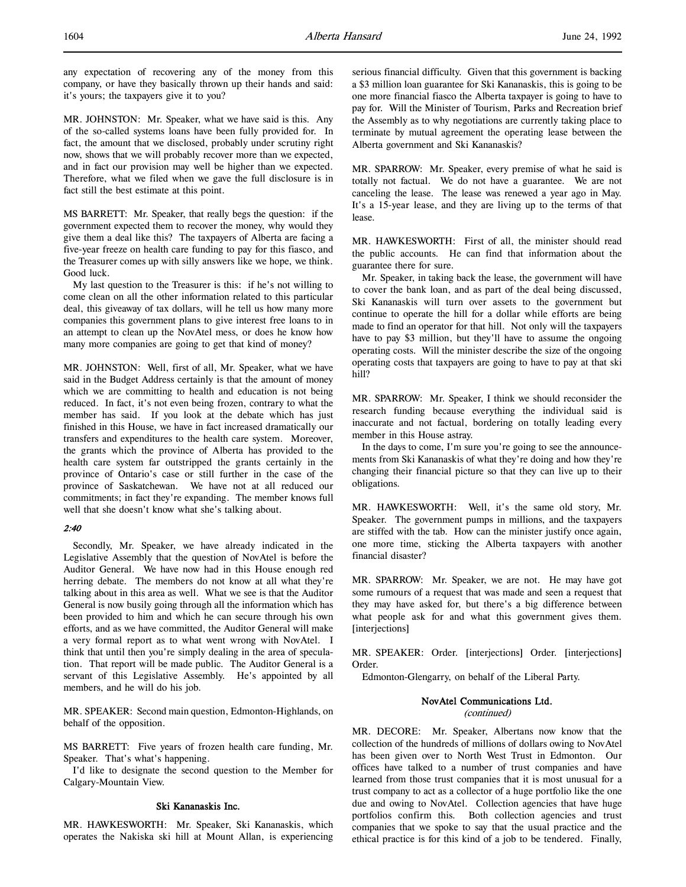any expectation of recovering any of the money from this company, or have they basically thrown up their hands and said: it's yours; the taxpayers give it to you?

MR. JOHNSTON: Mr. Speaker, what we have said is this. Any of the so-called systems loans have been fully provided for. In fact, the amount that we disclosed, probably under scrutiny right now, shows that we will probably recover more than we expected, and in fact our provision may well be higher than we expected. Therefore, what we filed when we gave the full disclosure is in fact still the best estimate at this point.

MS BARRETT: Mr. Speaker, that really begs the question: if the government expected them to recover the money, why would they give them a deal like this? The taxpayers of Alberta are facing a five-year freeze on health care funding to pay for this fiasco, and the Treasurer comes up with silly answers like we hope, we think. Good luck.

My last question to the Treasurer is this: if he's not willing to come clean on all the other information related to this particular deal, this giveaway of tax dollars, will he tell us how many more companies this government plans to give interest free loans to in an attempt to clean up the NovAtel mess, or does he know how many more companies are going to get that kind of money?

MR. JOHNSTON: Well, first of all, Mr. Speaker, what we have said in the Budget Address certainly is that the amount of money which we are committing to health and education is not being reduced. In fact, it's not even being frozen, contrary to what the member has said. If you look at the debate which has just finished in this House, we have in fact increased dramatically our transfers and expenditures to the health care system. Moreover, the grants which the province of Alberta has provided to the health care system far outstripped the grants certainly in the province of Ontario's case or still further in the case of the province of Saskatchewan. We have not at all reduced our commitments; in fact they're expanding. The member knows full well that she doesn't know what she's talking about.

#### $2:40$

Secondly, Mr. Speaker, we have already indicated in the Legislative Assembly that the question of NovAtel is before the Auditor General. We have now had in this House enough red herring debate. The members do not know at all what they're talking about in this area as well. What we see is that the Auditor General is now busily going through all the information which has been provided to him and which he can secure through his own efforts, and as we have committed, the Auditor General will make a very formal report as to what went wrong with NovAtel. I think that until then you're simply dealing in the area of speculation. That report will be made public. The Auditor General is a servant of this Legislative Assembly. He's appointed by all members, and he will do his job.

MR. SPEAKER: Second main question, Edmonton-Highlands, on behalf of the opposition.

MS BARRETT: Five years of frozen health care funding, Mr. Speaker. That's what's happening.

I'd like to designate the second question to the Member for Calgary-Mountain View.

### Ski Kananaskis Inc.

MR. HAWKESWORTH: Mr. Speaker, Ski Kananaskis, which operates the Nakiska ski hill at Mount Allan, is experiencing serious financial difficulty. Given that this government is backing a \$3 million loan guarantee for Ski Kananaskis, this is going to be one more financial fiasco the Alberta taxpayer is going to have to pay for. Will the Minister of Tourism, Parks and Recreation brief the Assembly as to why negotiations are currently taking place to terminate by mutual agreement the operating lease between the Alberta government and Ski Kananaskis?

MR. SPARROW: Mr. Speaker, every premise of what he said is totally not factual. We do not have a guarantee. We are not canceling the lease. The lease was renewed a year ago in May. It's a 15-year lease, and they are living up to the terms of that lease.

MR. HAWKESWORTH: First of all, the minister should read the public accounts. He can find that information about the guarantee there for sure.

Mr. Speaker, in taking back the lease, the government will have to cover the bank loan, and as part of the deal being discussed, Ski Kananaskis will turn over assets to the government but continue to operate the hill for a dollar while efforts are being made to find an operator for that hill. Not only will the taxpayers have to pay \$3 million, but they'll have to assume the ongoing operating costs. Will the minister describe the size of the ongoing operating costs that taxpayers are going to have to pay at that ski hill?

MR. SPARROW: Mr. Speaker, I think we should reconsider the research funding because everything the individual said is inaccurate and not factual, bordering on totally leading every member in this House astray.

In the days to come, I'm sure you're going to see the announcements from Ski Kananaskis of what they're doing and how they're changing their financial picture so that they can live up to their obligations.

MR. HAWKESWORTH: Well, it's the same old story, Mr. Speaker. The government pumps in millions, and the taxpayers are stiffed with the tab. How can the minister justify once again, one more time, sticking the Alberta taxpayers with another financial disaster?

MR. SPARROW: Mr. Speaker, we are not. He may have got some rumours of a request that was made and seen a request that they may have asked for, but there's a big difference between what people ask for and what this government gives them. [interjections]

MR. SPEAKER: Order. [interjections] Order. [interjections] Order.

Edmonton-Glengarry, on behalf of the Liberal Party.

### NovAtel Communications Ltd. (continued)

MR. DECORE: Mr. Speaker, Albertans now know that the collection of the hundreds of millions of dollars owing to NovAtel has been given over to North West Trust in Edmonton. Our offices have talked to a number of trust companies and have learned from those trust companies that it is most unusual for a trust company to act as a collector of a huge portfolio like the one due and owing to NovAtel. Collection agencies that have huge portfolios confirm this. Both collection agencies and trust companies that we spoke to say that the usual practice and the ethical practice is for this kind of a job to be tendered. Finally,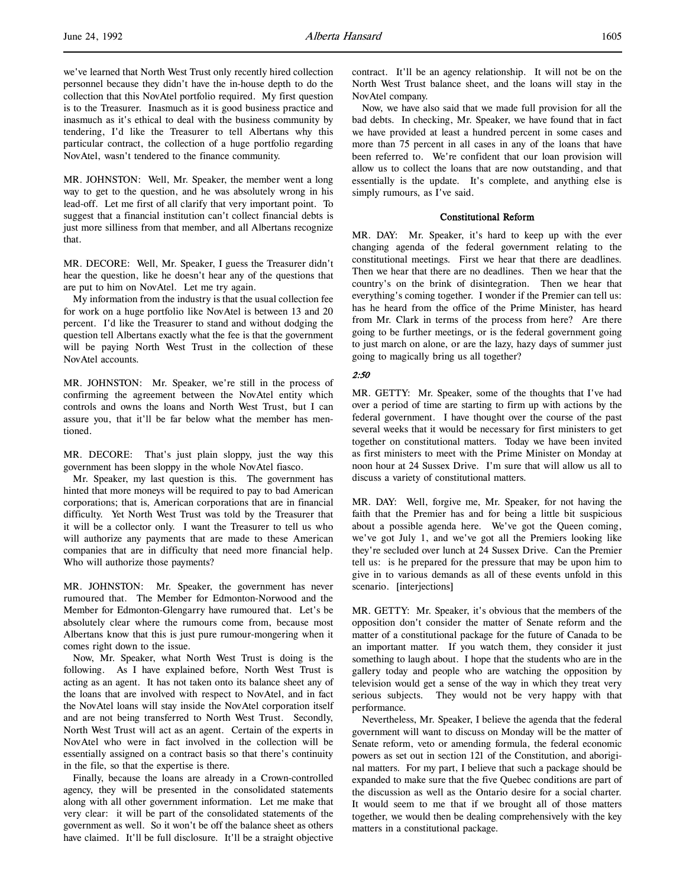we've learned that North West Trust only recently hired collection personnel because they didn't have the in-house depth to do the collection that this NovAtel portfolio required. My first question is to the Treasurer. Inasmuch as it is good business practice and inasmuch as it's ethical to deal with the business community by tendering, I'd like the Treasurer to tell Albertans why this particular contract, the collection of a huge portfolio regarding NovAtel, wasn't tendered to the finance community.

MR. JOHNSTON: Well, Mr. Speaker, the member went a long way to get to the question, and he was absolutely wrong in his lead-off. Let me first of all clarify that very important point. To suggest that a financial institution can't collect financial debts is just more silliness from that member, and all Albertans recognize that.

MR. DECORE: Well, Mr. Speaker, I guess the Treasurer didn't hear the question, like he doesn't hear any of the questions that are put to him on NovAtel. Let me try again.

My information from the industry is that the usual collection fee for work on a huge portfolio like NovAtel is between 13 and 20 percent. I'd like the Treasurer to stand and without dodging the question tell Albertans exactly what the fee is that the government will be paying North West Trust in the collection of these NovAtel accounts.

MR. JOHNSTON: Mr. Speaker, we're still in the process of confirming the agreement between the NovAtel entity which controls and owns the loans and North West Trust, but I can assure you, that it'll be far below what the member has mentioned.

MR. DECORE: That's just plain sloppy, just the way this government has been sloppy in the whole NovAtel fiasco.

Mr. Speaker, my last question is this. The government has hinted that more moneys will be required to pay to bad American corporations; that is, American corporations that are in financial difficulty. Yet North West Trust was told by the Treasurer that it will be a collector only. I want the Treasurer to tell us who will authorize any payments that are made to these American companies that are in difficulty that need more financial help. Who will authorize those payments?

MR. JOHNSTON: Mr. Speaker, the government has never rumoured that. The Member for Edmonton-Norwood and the Member for Edmonton-Glengarry have rumoured that. Let's be absolutely clear where the rumours come from, because most Albertans know that this is just pure rumour-mongering when it comes right down to the issue.

Now, Mr. Speaker, what North West Trust is doing is the following. As I have explained before, North West Trust is acting as an agent. It has not taken onto its balance sheet any of the loans that are involved with respect to NovAtel, and in fact the NovAtel loans will stay inside the NovAtel corporation itself and are not being transferred to North West Trust. Secondly, North West Trust will act as an agent. Certain of the experts in NovAtel who were in fact involved in the collection will be essentially assigned on a contract basis so that there's continuity in the file, so that the expertise is there.

Finally, because the loans are already in a Crown-controlled agency, they will be presented in the consolidated statements along with all other government information. Let me make that very clear: it will be part of the consolidated statements of the government as well. So it won't be off the balance sheet as others have claimed. It'll be full disclosure. It'll be a straight objective

Now, we have also said that we made full provision for all the bad debts. In checking, Mr. Speaker, we have found that in fact we have provided at least a hundred percent in some cases and more than 75 percent in all cases in any of the loans that have been referred to. We're confident that our loan provision will allow us to collect the loans that are now outstanding, and that essentially is the update. It's complete, and anything else is simply rumours, as I've said.

# Constitutional Reform

MR. DAY: Mr. Speaker, it's hard to keep up with the ever changing agenda of the federal government relating to the constitutional meetings. First we hear that there are deadlines. Then we hear that there are no deadlines. Then we hear that the country's on the brink of disintegration. Then we hear that everything's coming together. I wonder if the Premier can tell us: has he heard from the office of the Prime Minister, has heard from Mr. Clark in terms of the process from here? Are there going to be further meetings, or is the federal government going to just march on alone, or are the lazy, hazy days of summer just going to magically bring us all together?

# 2:50

MR. GETTY: Mr. Speaker, some of the thoughts that I've had over a period of time are starting to firm up with actions by the federal government. I have thought over the course of the past several weeks that it would be necessary for first ministers to get together on constitutional matters. Today we have been invited as first ministers to meet with the Prime Minister on Monday at noon hour at 24 Sussex Drive. I'm sure that will allow us all to discuss a variety of constitutional matters.

MR. DAY: Well, forgive me, Mr. Speaker, for not having the faith that the Premier has and for being a little bit suspicious about a possible agenda here. We've got the Queen coming, we've got July 1, and we've got all the Premiers looking like they're secluded over lunch at 24 Sussex Drive. Can the Premier tell us: is he prepared for the pressure that may be upon him to give in to various demands as all of these events unfold in this scenario. [interjections]

MR. GETTY: Mr. Speaker, it's obvious that the members of the opposition don't consider the matter of Senate reform and the matter of a constitutional package for the future of Canada to be an important matter. If you watch them, they consider it just something to laugh about. I hope that the students who are in the gallery today and people who are watching the opposition by television would get a sense of the way in which they treat very serious subjects. They would not be very happy with that performance.

Nevertheless, Mr. Speaker, I believe the agenda that the federal government will want to discuss on Monday will be the matter of Senate reform, veto or amending formula, the federal economic powers as set out in section 121 of the Constitution, and aboriginal matters. For my part, I believe that such a package should be expanded to make sure that the five Quebec conditions are part of the discussion as well as the Ontario desire for a social charter. It would seem to me that if we brought all of those matters together, we would then be dealing comprehensively with the key matters in a constitutional package.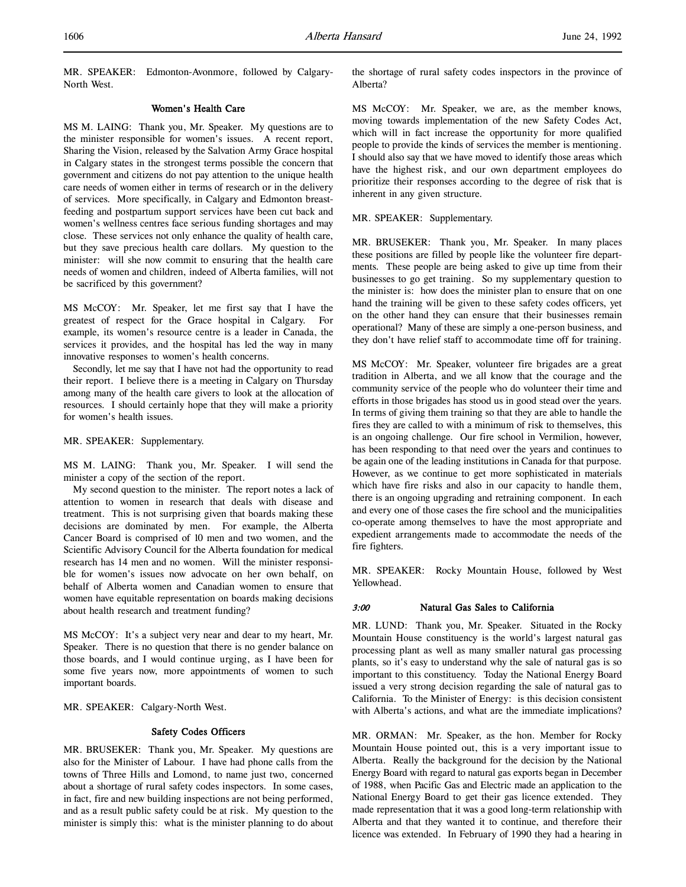MR. SPEAKER: Edmonton-Avonmore, followed by Calgary-North West.

### Women's Health Care

MS M. LAING: Thank you, Mr. Speaker. My questions are to the minister responsible for women's issues. A recent report, Sharing the Vision, released by the Salvation Army Grace hospital in Calgary states in the strongest terms possible the concern that government and citizens do not pay attention to the unique health care needs of women either in terms of research or in the delivery of services. More specifically, in Calgary and Edmonton breastfeeding and postpartum support services have been cut back and women's wellness centres face serious funding shortages and may close. These services not only enhance the quality of health care, but they save precious health care dollars. My question to the minister: will she now commit to ensuring that the health care needs of women and children, indeed of Alberta families, will not be sacrificed by this government?

MS McCOY: Mr. Speaker, let me first say that I have the greatest of respect for the Grace hospital in Calgary. For example, its women's resource centre is a leader in Canada, the services it provides, and the hospital has led the way in many innovative responses to women's health concerns.

Secondly, let me say that I have not had the opportunity to read their report. I believe there is a meeting in Calgary on Thursday among many of the health care givers to look at the allocation of resources. I should certainly hope that they will make a priority for women's health issues.

MR. SPEAKER: Supplementary.

MS M. LAING: Thank you, Mr. Speaker. I will send the minister a copy of the section of the report.

My second question to the minister. The report notes a lack of attention to women in research that deals with disease and treatment. This is not surprising given that boards making these decisions are dominated by men. For example, the Alberta Cancer Board is comprised of 10 men and two women, and the Scientific Advisory Council for the Alberta foundation for medical research has 14 men and no women. Will the minister responsible for women's issues now advocate on her own behalf, on behalf of Alberta women and Canadian women to ensure that women have equitable representation on boards making decisions about health research and treatment funding?

MS McCOY: It's a subject very near and dear to my heart, Mr. Speaker. There is no question that there is no gender balance on those boards, and I would continue urging, as I have been for some five years now, more appointments of women to such important boards.

MR. SPEAKER: Calgary-North West.

# Safety Codes Officers

MR. BRUSEKER: Thank you, Mr. Speaker. My questions are also for the Minister of Labour. I have had phone calls from the towns of Three Hills and Lomond, to name just two, concerned about a shortage of rural safety codes inspectors. In some cases, in fact, fire and new building inspections are not being performed, and as a result public safety could be at risk. My question to the minister is simply this: what is the minister planning to do about

the shortage of rural safety codes inspectors in the province of Alberta?

MS McCOY: Mr. Speaker, we are, as the member knows, moving towards implementation of the new Safety Codes Act, which will in fact increase the opportunity for more qualified people to provide the kinds of services the member is mentioning. I should also say that we have moved to identify those areas which have the highest risk, and our own department employees do prioritize their responses according to the degree of risk that is inherent in any given structure.

MR. SPEAKER: Supplementary.

MR. BRUSEKER: Thank you, Mr. Speaker. In many places these positions are filled by people like the volunteer fire departments. These people are being asked to give up time from their businesses to go get training. So my supplementary question to the minister is: how does the minister plan to ensure that on one hand the training will be given to these safety codes officers, yet on the other hand they can ensure that their businesses remain operational? Many of these are simply a one-person business, and they don't have relief staff to accommodate time off for training.

MS McCOY: Mr. Speaker, volunteer fire brigades are a great tradition in Alberta, and we all know that the courage and the community service of the people who do volunteer their time and efforts in those brigades has stood us in good stead over the years. In terms of giving them training so that they are able to handle the fires they are called to with a minimum of risk to themselves, this is an ongoing challenge. Our fire school in Vermilion, however, has been responding to that need over the years and continues to be again one of the leading institutions in Canada for that purpose. However, as we continue to get more sophisticated in materials which have fire risks and also in our capacity to handle them, there is an ongoing upgrading and retraining component. In each and every one of those cases the fire school and the municipalities co-operate among themselves to have the most appropriate and expedient arrangements made to accommodate the needs of the fire fighters.

MR. SPEAKER: Rocky Mountain House, followed by West Yellowhead.

## 3:00 Natural Gas Sales to California

MR. LUND: Thank you, Mr. Speaker. Situated in the Rocky Mountain House constituency is the world's largest natural gas processing plant as well as many smaller natural gas processing plants, so it's easy to understand why the sale of natural gas is so important to this constituency. Today the National Energy Board issued a very strong decision regarding the sale of natural gas to California. To the Minister of Energy: is this decision consistent with Alberta's actions, and what are the immediate implications?

MR. ORMAN: Mr. Speaker, as the hon. Member for Rocky Mountain House pointed out, this is a very important issue to Alberta. Really the background for the decision by the National Energy Board with regard to natural gas exports began in December of 1988, when Pacific Gas and Electric made an application to the National Energy Board to get their gas licence extended. They made representation that it was a good long-term relationship with Alberta and that they wanted it to continue, and therefore their licence was extended. In February of 1990 they had a hearing in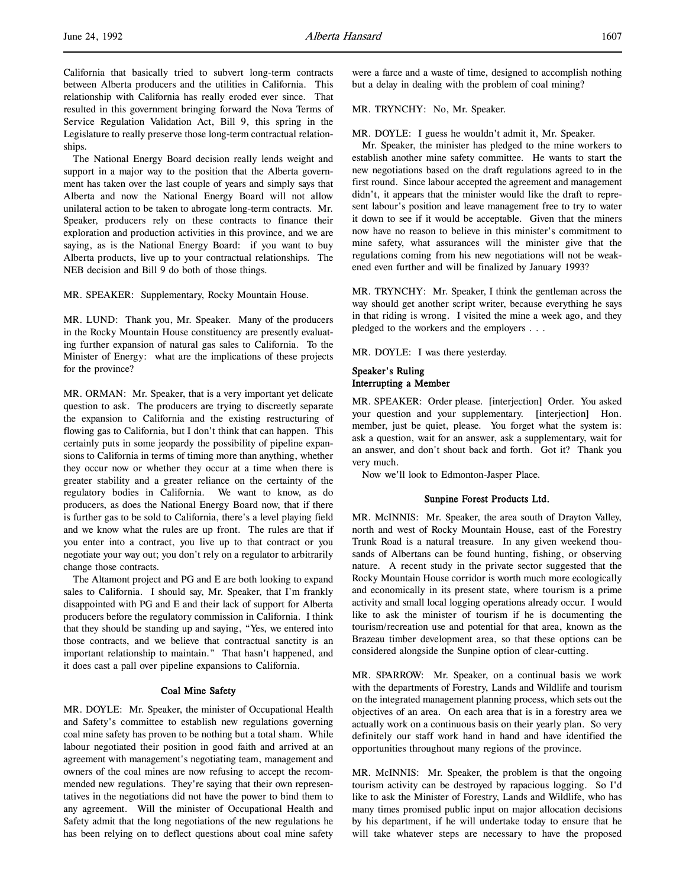California that basically tried to subvert long-term contracts between Alberta producers and the utilities in California. This relationship with California has really eroded ever since. That resulted in this government bringing forward the Nova Terms of Service Regulation Validation Act, Bill 9, this spring in the Legislature to really preserve those long-term contractual relationships.

The National Energy Board decision really lends weight and support in a major way to the position that the Alberta government has taken over the last couple of years and simply says that Alberta and now the National Energy Board will not allow unilateral action to be taken to abrogate long-term contracts. Mr. Speaker, producers rely on these contracts to finance their exploration and production activities in this province, and we are saying, as is the National Energy Board: if you want to buy Alberta products, live up to your contractual relationships. The NEB decision and Bill 9 do both of those things.

MR. SPEAKER: Supplementary, Rocky Mountain House.

MR. LUND: Thank you, Mr. Speaker. Many of the producers in the Rocky Mountain House constituency are presently evaluating further expansion of natural gas sales to California. To the Minister of Energy: what are the implications of these projects for the province?

MR. ORMAN: Mr. Speaker, that is a very important yet delicate question to ask. The producers are trying to discreetly separate the expansion to California and the existing restructuring of flowing gas to California, but I don't think that can happen. This certainly puts in some jeopardy the possibility of pipeline expansions to California in terms of timing more than anything, whether they occur now or whether they occur at a time when there is greater stability and a greater reliance on the certainty of the regulatory bodies in California. We want to know, as do producers, as does the National Energy Board now, that if there is further gas to be sold to California, there's a level playing field and we know what the rules are up front. The rules are that if you enter into a contract, you live up to that contract or you negotiate your way out; you don't rely on a regulator to arbitrarily change those contracts.

The Altamont project and PG and E are both looking to expand sales to California. I should say, Mr. Speaker, that I'm frankly disappointed with PG and E and their lack of support for Alberta producers before the regulatory commission in California. I think that they should be standing up and saying, "Yes, we entered into those contracts, and we believe that contractual sanctity is an important relationship to maintain." That hasn't happened, and it does cast a pall over pipeline expansions to California.

### Coal Mine Safety

MR. DOYLE: Mr. Speaker, the minister of Occupational Health and Safety's committee to establish new regulations governing coal mine safety has proven to be nothing but a total sham. While labour negotiated their position in good faith and arrived at an agreement with management's negotiating team, management and owners of the coal mines are now refusing to accept the recommended new regulations. They're saying that their own representatives in the negotiations did not have the power to bind them to any agreement. Will the minister of Occupational Health and Safety admit that the long negotiations of the new regulations he has been relying on to deflect questions about coal mine safety

were a farce and a waste of time, designed to accomplish nothing but a delay in dealing with the problem of coal mining?

### MR. TRYNCHY: No, Mr. Speaker.

MR. DOYLE: I guess he wouldn't admit it, Mr. Speaker.

Mr. Speaker, the minister has pledged to the mine workers to establish another mine safety committee. He wants to start the new negotiations based on the draft regulations agreed to in the first round. Since labour accepted the agreement and management didn't, it appears that the minister would like the draft to represent labour's position and leave management free to try to water it down to see if it would be acceptable. Given that the miners now have no reason to believe in this minister's commitment to mine safety, what assurances will the minister give that the regulations coming from his new negotiations will not be weakened even further and will be finalized by January 1993?

MR. TRYNCHY: Mr. Speaker, I think the gentleman across the way should get another script writer, because everything he says in that riding is wrong. I visited the mine a week ago, and they pledged to the workers and the employers . . .

MR. DOYLE: I was there yesterday.

# Speaker's Ruling Interrupting a Member

MR. SPEAKER: Order please. [interjection] Order. You asked your question and your supplementary. [interjection] Hon. member, just be quiet, please. You forget what the system is: ask a question, wait for an answer, ask a supplementary, wait for an answer, and don't shout back and forth. Got it? Thank you very much.

Now we'll look to Edmonton-Jasper Place.

#### Sunpine Forest Products Ltd.

MR. McINNIS: Mr. Speaker, the area south of Drayton Valley, north and west of Rocky Mountain House, east of the Forestry Trunk Road is a natural treasure. In any given weekend thousands of Albertans can be found hunting, fishing, or observing nature. A recent study in the private sector suggested that the Rocky Mountain House corridor is worth much more ecologically and economically in its present state, where tourism is a prime activity and small local logging operations already occur. I would like to ask the minister of tourism if he is documenting the tourism/recreation use and potential for that area, known as the Brazeau timber development area, so that these options can be considered alongside the Sunpine option of clear-cutting.

MR. SPARROW: Mr. Speaker, on a continual basis we work with the departments of Forestry, Lands and Wildlife and tourism on the integrated management planning process, which sets out the objectives of an area. On each area that is in a forestry area we actually work on a continuous basis on their yearly plan. So very definitely our staff work hand in hand and have identified the opportunities throughout many regions of the province.

MR. McINNIS: Mr. Speaker, the problem is that the ongoing tourism activity can be destroyed by rapacious logging. So I'd like to ask the Minister of Forestry, Lands and Wildlife, who has many times promised public input on major allocation decisions by his department, if he will undertake today to ensure that he will take whatever steps are necessary to have the proposed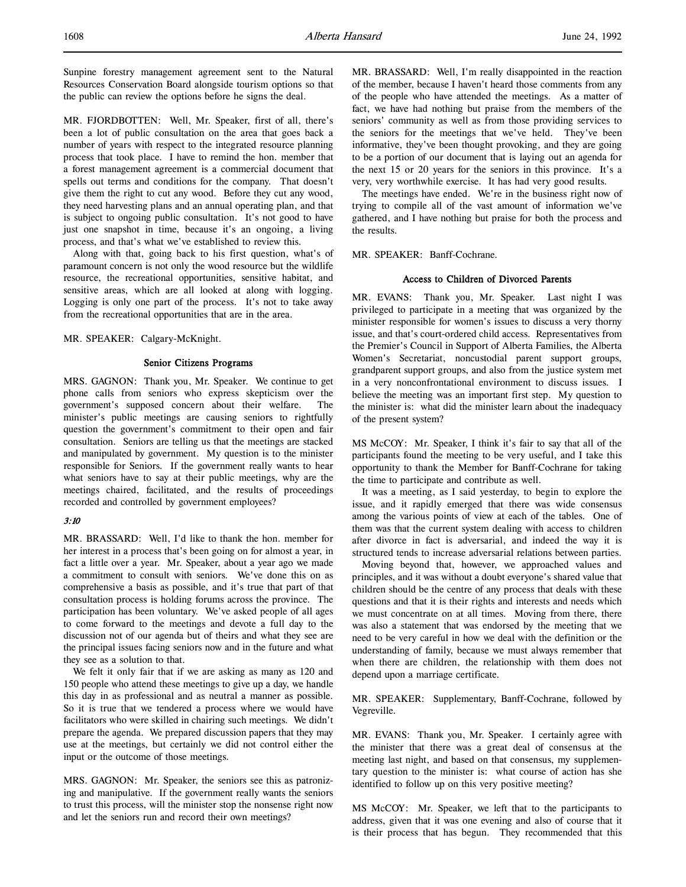Sunpine forestry management agreement sent to the Natural Resources Conservation Board alongside tourism options so that the public can review the options before he signs the deal.

MR. FJORDBOTTEN: Well, Mr. Speaker, first of all, there's been a lot of public consultation on the area that goes back a number of years with respect to the integrated resource planning process that took place. I have to remind the hon. member that a forest management agreement is a commercial document that spells out terms and conditions for the company. That doesn't give them the right to cut any wood. Before they cut any wood, they need harvesting plans and an annual operating plan, and that is subject to ongoing public consultation. It's not good to have just one snapshot in time, because it's an ongoing, a living process, and that's what we've established to review this.

Along with that, going back to his first question, what's of paramount concern is not only the wood resource but the wildlife resource, the recreational opportunities, sensitive habitat, and sensitive areas, which are all looked at along with logging. Logging is only one part of the process. It's not to take away from the recreational opportunities that are in the area.

MR. SPEAKER: Calgary-McKnight.

### Senior Citizens Programs

MRS. GAGNON: Thank you, Mr. Speaker. We continue to get phone calls from seniors who express skepticism over the government's supposed concern about their welfare. The minister's public meetings are causing seniors to rightfully question the government's commitment to their open and fair consultation. Seniors are telling us that the meetings are stacked and manipulated by government. My question is to the minister responsible for Seniors. If the government really wants to hear what seniors have to say at their public meetings, why are the meetings chaired, facilitated, and the results of proceedings recorded and controlled by government employees?

### 3:10

MR. BRASSARD: Well, I'd like to thank the hon. member for her interest in a process that's been going on for almost a year, in fact a little over a year. Mr. Speaker, about a year ago we made a commitment to consult with seniors. We've done this on as comprehensive a basis as possible, and it's true that part of that consultation process is holding forums across the province. The participation has been voluntary. We've asked people of all ages to come forward to the meetings and devote a full day to the discussion not of our agenda but of theirs and what they see are the principal issues facing seniors now and in the future and what they see as a solution to that.

We felt it only fair that if we are asking as many as 120 and 150 people who attend these meetings to give up a day, we handle this day in as professional and as neutral a manner as possible. So it is true that we tendered a process where we would have facilitators who were skilled in chairing such meetings. We didn't prepare the agenda. We prepared discussion papers that they may use at the meetings, but certainly we did not control either the input or the outcome of those meetings.

MRS. GAGNON: Mr. Speaker, the seniors see this as patronizing and manipulative. If the government really wants the seniors to trust this process, will the minister stop the nonsense right now and let the seniors run and record their own meetings?

MR. BRASSARD: Well, I'm really disappointed in the reaction of the member, because I haven't heard those comments from any of the people who have attended the meetings. As a matter of fact, we have had nothing but praise from the members of the seniors' community as well as from those providing services to the seniors for the meetings that we've held. They've been informative, they've been thought provoking, and they are going to be a portion of our document that is laying out an agenda for the next 15 or 20 years for the seniors in this province. It's a very, very worthwhile exercise. It has had very good results.

The meetings have ended. We're in the business right now of trying to compile all of the vast amount of information we've gathered, and I have nothing but praise for both the process and the results.

MR. SPEAKER: Banff-Cochrane.

# Access to Children of Divorced Parents

MR. EVANS: Thank you, Mr. Speaker. Last night I was privileged to participate in a meeting that was organized by the minister responsible for women's issues to discuss a very thorny issue, and that's court-ordered child access. Representatives from the Premier's Council in Support of Alberta Families, the Alberta Women's Secretariat, noncustodial parent support groups, grandparent support groups, and also from the justice system met in a very nonconfrontational environment to discuss issues. I believe the meeting was an important first step. My question to the minister is: what did the minister learn about the inadequacy of the present system?

MS McCOY: Mr. Speaker, I think it's fair to say that all of the participants found the meeting to be very useful, and I take this opportunity to thank the Member for Banff-Cochrane for taking the time to participate and contribute as well.

It was a meeting, as I said yesterday, to begin to explore the issue, and it rapidly emerged that there was wide consensus among the various points of view at each of the tables. One of them was that the current system dealing with access to children after divorce in fact is adversarial, and indeed the way it is structured tends to increase adversarial relations between parties.

Moving beyond that, however, we approached values and principles, and it was without a doubt everyone's shared value that children should be the centre of any process that deals with these questions and that it is their rights and interests and needs which we must concentrate on at all times. Moving from there, there was also a statement that was endorsed by the meeting that we need to be very careful in how we deal with the definition or the understanding of family, because we must always remember that when there are children, the relationship with them does not depend upon a marriage certificate.

MR. SPEAKER: Supplementary, Banff-Cochrane, followed by Vegreville.

MR. EVANS: Thank you, Mr. Speaker. I certainly agree with the minister that there was a great deal of consensus at the meeting last night, and based on that consensus, my supplementary question to the minister is: what course of action has she identified to follow up on this very positive meeting?

MS McCOY: Mr. Speaker, we left that to the participants to address, given that it was one evening and also of course that it is their process that has begun. They recommended that this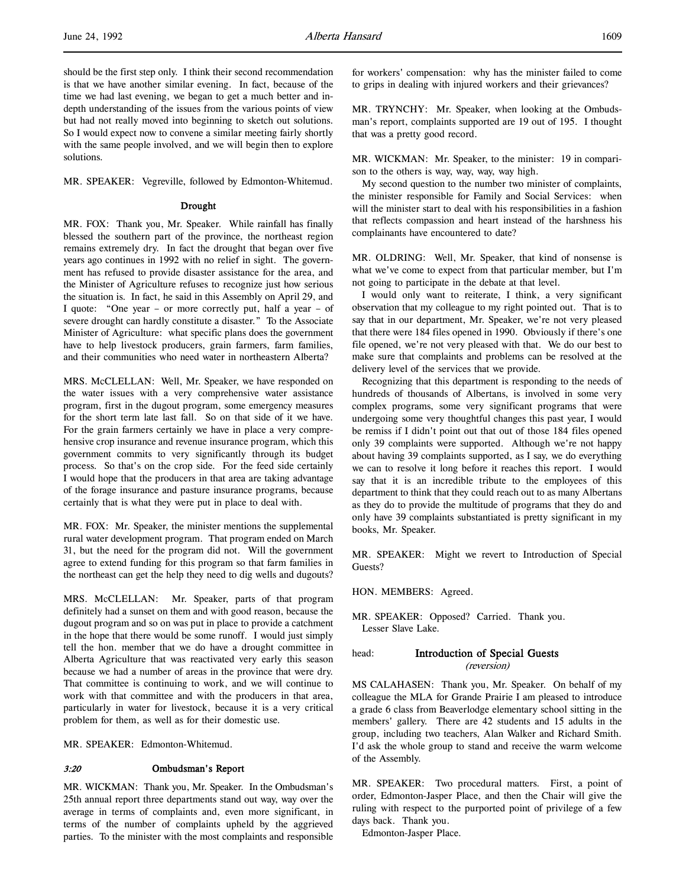should be the first step only. I think their second recommendation is that we have another similar evening. In fact, because of the time we had last evening, we began to get a much better and indepth understanding of the issues from the various points of view but had not really moved into beginning to sketch out solutions. So I would expect now to convene a similar meeting fairly shortly with the same people involved, and we will begin then to explore solutions.

MR. SPEAKER: Vegreville, followed by Edmonton-Whitemud.

#### Drought

MR. FOX: Thank you, Mr. Speaker. While rainfall has finally blessed the southern part of the province, the northeast region remains extremely dry. In fact the drought that began over five years ago continues in 1992 with no relief in sight. The government has refused to provide disaster assistance for the area, and the Minister of Agriculture refuses to recognize just how serious the situation is. In fact, he said in this Assembly on April 29, and I quote: "One year – or more correctly put, half a year – of severe drought can hardly constitute a disaster." To the Associate Minister of Agriculture: what specific plans does the government have to help livestock producers, grain farmers, farm families, and their communities who need water in northeastern Alberta?

MRS. McCLELLAN: Well, Mr. Speaker, we have responded on the water issues with a very comprehensive water assistance program, first in the dugout program, some emergency measures for the short term late last fall. So on that side of it we have. For the grain farmers certainly we have in place a very comprehensive crop insurance and revenue insurance program, which this government commits to very significantly through its budget process. So that's on the crop side. For the feed side certainly I would hope that the producers in that area are taking advantage of the forage insurance and pasture insurance programs, because certainly that is what they were put in place to deal with.

MR. FOX: Mr. Speaker, the minister mentions the supplemental rural water development program. That program ended on March 31, but the need for the program did not. Will the government agree to extend funding for this program so that farm families in the northeast can get the help they need to dig wells and dugouts?

MRS. McCLELLAN: Mr. Speaker, parts of that program definitely had a sunset on them and with good reason, because the dugout program and so on was put in place to provide a catchment in the hope that there would be some runoff. I would just simply tell the hon. member that we do have a drought committee in Alberta Agriculture that was reactivated very early this season because we had a number of areas in the province that were dry. That committee is continuing to work, and we will continue to work with that committee and with the producers in that area, particularly in water for livestock, because it is a very critical problem for them, as well as for their domestic use.

MR. SPEAKER: Edmonton-Whitemud.

### 3:20 Ombudsman's Report

MR. WICKMAN: Thank you, Mr. Speaker. In the Ombudsman's 25th annual report three departments stand out way, way over the average in terms of complaints and, even more significant, in terms of the number of complaints upheld by the aggrieved parties. To the minister with the most complaints and responsible

for workers' compensation: why has the minister failed to come to grips in dealing with injured workers and their grievances?

MR. TRYNCHY: Mr. Speaker, when looking at the Ombudsman's report, complaints supported are 19 out of 195. I thought that was a pretty good record.

MR. WICKMAN: Mr. Speaker, to the minister: 19 in comparison to the others is way, way, way, way high.

My second question to the number two minister of complaints, the minister responsible for Family and Social Services: when will the minister start to deal with his responsibilities in a fashion that reflects compassion and heart instead of the harshness his complainants have encountered to date?

MR. OLDRING: Well, Mr. Speaker, that kind of nonsense is what we've come to expect from that particular member, but I'm not going to participate in the debate at that level.

I would only want to reiterate, I think, a very significant observation that my colleague to my right pointed out. That is to say that in our department, Mr. Speaker, we're not very pleased that there were 184 files opened in 1990. Obviously if there's one file opened, we're not very pleased with that. We do our best to make sure that complaints and problems can be resolved at the delivery level of the services that we provide.

Recognizing that this department is responding to the needs of hundreds of thousands of Albertans, is involved in some very complex programs, some very significant programs that were undergoing some very thoughtful changes this past year, I would be remiss if I didn't point out that out of those 184 files opened only 39 complaints were supported. Although we're not happy about having 39 complaints supported, as I say, we do everything we can to resolve it long before it reaches this report. I would say that it is an incredible tribute to the employees of this department to think that they could reach out to as many Albertans as they do to provide the multitude of programs that they do and only have 39 complaints substantiated is pretty significant in my books, Mr. Speaker.

MR. SPEAKER: Might we revert to Introduction of Special Guests?

HON. MEMBERS: Agreed.

MR. SPEAKER: Opposed? Carried. Thank you. Lesser Slave Lake.

## head: Introduction of Special Guests (reversion)

MS CALAHASEN: Thank you, Mr. Speaker. On behalf of my colleague the MLA for Grande Prairie I am pleased to introduce a grade 6 class from Beaverlodge elementary school sitting in the members' gallery. There are 42 students and 15 adults in the group, including two teachers, Alan Walker and Richard Smith. I'd ask the whole group to stand and receive the warm welcome of the Assembly.

MR. SPEAKER: Two procedural matters. First, a point of order, Edmonton-Jasper Place, and then the Chair will give the ruling with respect to the purported point of privilege of a few days back. Thank you.

Edmonton-Jasper Place.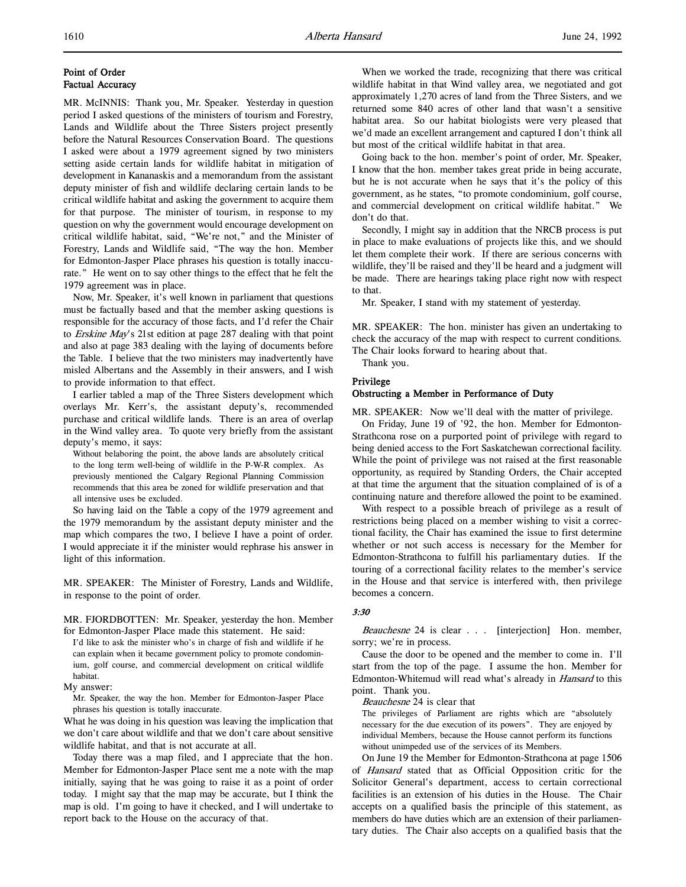# Point of Order Factual Accuracy

MR. McINNIS: Thank you, Mr. Speaker. Yesterday in question period I asked questions of the ministers of tourism and Forestry, Lands and Wildlife about the Three Sisters project presently before the Natural Resources Conservation Board. The questions I asked were about a 1979 agreement signed by two ministers setting aside certain lands for wildlife habitat in mitigation of development in Kananaskis and a memorandum from the assistant deputy minister of fish and wildlife declaring certain lands to be critical wildlife habitat and asking the government to acquire them for that purpose. The minister of tourism, in response to my question on why the government would encourage development on critical wildlife habitat, said, "We're not," and the Minister of Forestry, Lands and Wildlife said, "The way the hon. Member for Edmonton-Jasper Place phrases his question is totally inaccurate." He went on to say other things to the effect that he felt the 1979 agreement was in place.

Now, Mr. Speaker, it's well known in parliament that questions must be factually based and that the member asking questions is responsible for the accuracy of those facts, and I'd refer the Chair to Erskine May's 21st edition at page 287 dealing with that point and also at page 383 dealing with the laying of documents before the Table. I believe that the two ministers may inadvertently have misled Albertans and the Assembly in their answers, and I wish to provide information to that effect.

I earlier tabled a map of the Three Sisters development which overlays Mr. Kerr's, the assistant deputy's, recommended purchase and critical wildlife lands. There is an area of overlap in the Wind valley area. To quote very briefly from the assistant deputy's memo, it says:

Without belaboring the point, the above lands are absolutely critical to the long term well-being of wildlife in the P-W-R complex. As previously mentioned the Calgary Regional Planning Commission recommends that this area be zoned for wildlife preservation and that all intensive uses be excluded.

So having laid on the Table a copy of the 1979 agreement and the 1979 memorandum by the assistant deputy minister and the map which compares the two, I believe I have a point of order. I would appreciate it if the minister would rephrase his answer in light of this information.

MR. SPEAKER: The Minister of Forestry, Lands and Wildlife, in response to the point of order.

MR. FJORDBOTTEN: Mr. Speaker, yesterday the hon. Member for Edmonton-Jasper Place made this statement. He said:

I'd like to ask the minister who's in charge of fish and wildlife if he can explain when it became government policy to promote condominium, golf course, and commercial development on critical wildlife habitat.

My answer:

Mr. Speaker, the way the hon. Member for Edmonton-Jasper Place phrases his question is totally inaccurate.

What he was doing in his question was leaving the implication that we don't care about wildlife and that we don't care about sensitive wildlife habitat, and that is not accurate at all.

Today there was a map filed, and I appreciate that the hon. Member for Edmonton-Jasper Place sent me a note with the map initially, saying that he was going to raise it as a point of order today. I might say that the map may be accurate, but I think the map is old. I'm going to have it checked, and I will undertake to report back to the House on the accuracy of that.

When we worked the trade, recognizing that there was critical wildlife habitat in that Wind valley area, we negotiated and got approximately 1,270 acres of land from the Three Sisters, and we returned some 840 acres of other land that wasn't a sensitive habitat area. So our habitat biologists were very pleased that we'd made an excellent arrangement and captured I don't think all but most of the critical wildlife habitat in that area.

Going back to the hon. member's point of order, Mr. Speaker, I know that the hon. member takes great pride in being accurate, but he is not accurate when he says that it's the policy of this government, as he states, "to promote condominium, golf course, and commercial development on critical wildlife habitat." We don't do that.

Secondly, I might say in addition that the NRCB process is put in place to make evaluations of projects like this, and we should let them complete their work. If there are serious concerns with wildlife, they'll be raised and they'll be heard and a judgment will be made. There are hearings taking place right now with respect to that.

Mr. Speaker, I stand with my statement of yesterday.

MR. SPEAKER: The hon. minister has given an undertaking to check the accuracy of the map with respect to current conditions. The Chair looks forward to hearing about that.

Thank you.

### Privilege

# Obstructing a Member in Performance of Duty

MR. SPEAKER: Now we'll deal with the matter of privilege.

On Friday, June 19 of '92, the hon. Member for Edmonton-Strathcona rose on a purported point of privilege with regard to being denied access to the Fort Saskatchewan correctional facility. While the point of privilege was not raised at the first reasonable opportunity, as required by Standing Orders, the Chair accepted at that time the argument that the situation complained of is of a continuing nature and therefore allowed the point to be examined.

With respect to a possible breach of privilege as a result of restrictions being placed on a member wishing to visit a correctional facility, the Chair has examined the issue to first determine whether or not such access is necessary for the Member for Edmonton-Strathcona to fulfill his parliamentary duties. If the touring of a correctional facility relates to the member's service in the House and that service is interfered with, then privilege becomes a concern.

# 3:30

Beauchesne 24 is clear . . . [interjection] Hon. member, sorry; we're in process.

Cause the door to be opened and the member to come in. I'll start from the top of the page. I assume the hon. Member for Edmonton-Whitemud will read what's already in *Hansard* to this point. Thank you.

Beauchesne 24 is clear that

The privileges of Parliament are rights which are "absolutely necessary for the due execution of its powers". They are enjoyed by individual Members, because the House cannot perform its functions without unimpeded use of the services of its Members.

On June 19 the Member for Edmonton-Strathcona at page 1506 of Hansard stated that as Official Opposition critic for the Solicitor General's department, access to certain correctional facilities is an extension of his duties in the House. The Chair accepts on a qualified basis the principle of this statement, as members do have duties which are an extension of their parliamentary duties. The Chair also accepts on a qualified basis that the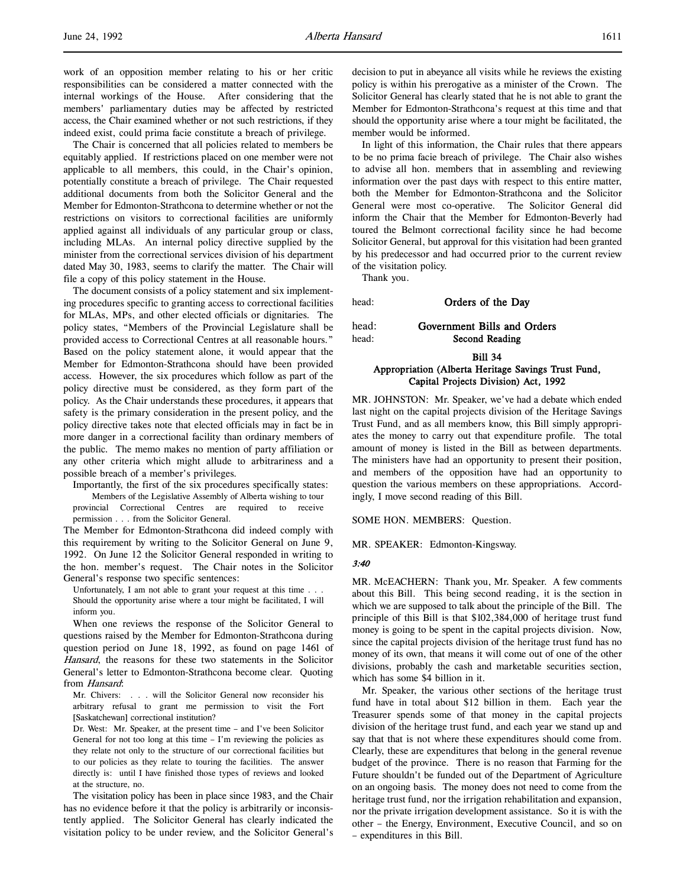work of an opposition member relating to his or her critic responsibilities can be considered a matter connected with the internal workings of the House. After considering that the members' parliamentary duties may be affected by restricted access, the Chair examined whether or not such restrictions, if they indeed exist, could prima facie constitute a breach of privilege.

The Chair is concerned that all policies related to members be equitably applied. If restrictions placed on one member were not applicable to all members, this could, in the Chair's opinion, potentially constitute a breach of privilege. The Chair requested additional documents from both the Solicitor General and the Member for Edmonton-Strathcona to determine whether or not the restrictions on visitors to correctional facilities are uniformly applied against all individuals of any particular group or class, including MLAs. An internal policy directive supplied by the minister from the correctional services division of his department dated May 30, 1983, seems to clarify the matter. The Chair will file a copy of this policy statement in the House.

The document consists of a policy statement and six implementing procedures specific to granting access to correctional facilities for MLAs, MPs, and other elected officials or dignitaries. The policy states, "Members of the Provincial Legislature shall be provided access to Correctional Centres at all reasonable hours." Based on the policy statement alone, it would appear that the Member for Edmonton-Strathcona should have been provided access. However, the six procedures which follow as part of the policy directive must be considered, as they form part of the policy. As the Chair understands these procedures, it appears that safety is the primary consideration in the present policy, and the policy directive takes note that elected officials may in fact be in more danger in a correctional facility than ordinary members of the public. The memo makes no mention of party affiliation or any other criteria which might allude to arbitrariness and a possible breach of a member's privileges.

Importantly, the first of the six procedures specifically states:

Members of the Legislative Assembly of Alberta wishing to tour provincial Correctional Centres are required to receive permission . . . from the Solicitor General.

The Member for Edmonton-Strathcona did indeed comply with this requirement by writing to the Solicitor General on June 9, 1992. On June 12 the Solicitor General responded in writing to the hon. member's request. The Chair notes in the Solicitor General's response two specific sentences:

Unfortunately, I am not able to grant your request at this time . . . Should the opportunity arise where a tour might be facilitated, I will inform you.

When one reviews the response of the Solicitor General to questions raised by the Member for Edmonton-Strathcona during question period on June 18, 1992, as found on page 1461 of Hansard, the reasons for these two statements in the Solicitor General's letter to Edmonton-Strathcona become clear. Quoting from Hansard:

Mr. Chivers: . . . will the Solicitor General now reconsider his arbitrary refusal to grant me permission to visit the Fort [Saskatchewan] correctional institution?

Dr. West: Mr. Speaker, at the present time – and I've been Solicitor General for not too long at this time – I'm reviewing the policies as they relate not only to the structure of our correctional facilities but to our policies as they relate to touring the facilities. The answer directly is: until I have finished those types of reviews and looked at the structure, no.

The visitation policy has been in place since 1983, and the Chair has no evidence before it that the policy is arbitrarily or inconsistently applied. The Solicitor General has clearly indicated the visitation policy to be under review, and the Solicitor General's decision to put in abeyance all visits while he reviews the existing policy is within his prerogative as a minister of the Crown. The Solicitor General has clearly stated that he is not able to grant the Member for Edmonton-Strathcona's request at this time and that should the opportunity arise where a tour might be facilitated, the member would be informed.

In light of this information, the Chair rules that there appears to be no prima facie breach of privilege. The Chair also wishes to advise all hon. members that in assembling and reviewing information over the past days with respect to this entire matter, both the Member for Edmonton-Strathcona and the Solicitor General were most co-operative. The Solicitor General did inform the Chair that the Member for Edmonton-Beverly had toured the Belmont correctional facility since he had become Solicitor General, but approval for this visitation had been granted by his predecessor and had occurred prior to the current review of the visitation policy.

Thank you.

head: **Orders of the Day** 

head: Government Bills and Orders head: Second Reading

# Bill 34 Appropriation (Alberta Heritage Savings Trust Fund, Capital Projects Division) Act, 1992

MR. JOHNSTON: Mr. Speaker, we've had a debate which ended last night on the capital projects division of the Heritage Savings Trust Fund, and as all members know, this Bill simply appropriates the money to carry out that expenditure profile. The total amount of money is listed in the Bill as between departments. The ministers have had an opportunity to present their position, and members of the opposition have had an opportunity to question the various members on these appropriations. Accordingly, I move second reading of this Bill.

SOME HON. MEMBERS: Question.

MR. SPEAKER: Edmonton-Kingsway.

#### 3:40

MR. McEACHERN: Thank you, Mr. Speaker. A few comments about this Bill. This being second reading, it is the section in which we are supposed to talk about the principle of the Bill. The principle of this Bill is that \$102,384,000 of heritage trust fund money is going to be spent in the capital projects division. Now, since the capital projects division of the heritage trust fund has no money of its own, that means it will come out of one of the other divisions, probably the cash and marketable securities section, which has some \$4 billion in it.

Mr. Speaker, the various other sections of the heritage trust fund have in total about \$12 billion in them. Each year the Treasurer spends some of that money in the capital projects division of the heritage trust fund, and each year we stand up and say that that is not where these expenditures should come from. Clearly, these are expenditures that belong in the general revenue budget of the province. There is no reason that Farming for the Future shouldn't be funded out of the Department of Agriculture on an ongoing basis. The money does not need to come from the heritage trust fund, nor the irrigation rehabilitation and expansion, nor the private irrigation development assistance. So it is with the other – the Energy, Environment, Executive Council, and so on – expenditures in this Bill.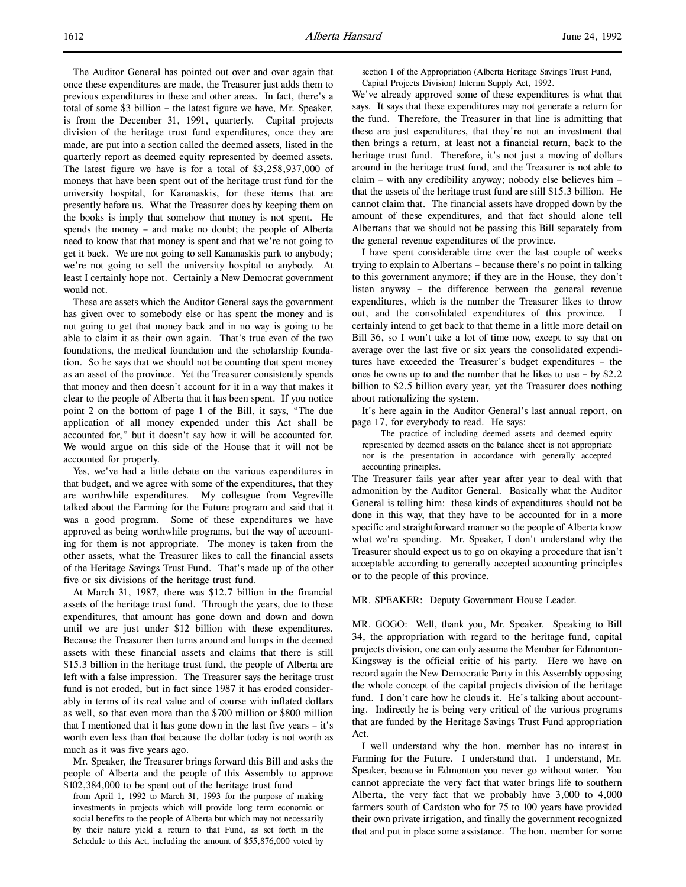The Auditor General has pointed out over and over again that once these expenditures are made, the Treasurer just adds them to previous expenditures in these and other areas. In fact, there's a total of some \$3 billion – the latest figure we have, Mr. Speaker, is from the December 31, 1991, quarterly. Capital projects division of the heritage trust fund expenditures, once they are made, are put into a section called the deemed assets, listed in the quarterly report as deemed equity represented by deemed assets. The latest figure we have is for a total of \$3,258,937,000 of moneys that have been spent out of the heritage trust fund for the university hospital, for Kananaskis, for these items that are presently before us. What the Treasurer does by keeping them on the books is imply that somehow that money is not spent. He spends the money – and make no doubt; the people of Alberta need to know that that money is spent and that we're not going to get it back. We are not going to sell Kananaskis park to anybody; we're not going to sell the university hospital to anybody. At least I certainly hope not. Certainly a New Democrat government would not.

These are assets which the Auditor General says the government has given over to somebody else or has spent the money and is not going to get that money back and in no way is going to be able to claim it as their own again. That's true even of the two foundations, the medical foundation and the scholarship foundation. So he says that we should not be counting that spent money as an asset of the province. Yet the Treasurer consistently spends that money and then doesn't account for it in a way that makes it clear to the people of Alberta that it has been spent. If you notice point 2 on the bottom of page 1 of the Bill, it says, "The due application of all money expended under this Act shall be accounted for," but it doesn't say how it will be accounted for. We would argue on this side of the House that it will not be accounted for properly.

Yes, we've had a little debate on the various expenditures in that budget, and we agree with some of the expenditures, that they are worthwhile expenditures. My colleague from Vegreville talked about the Farming for the Future program and said that it was a good program. Some of these expenditures we have approved as being worthwhile programs, but the way of accounting for them is not appropriate. The money is taken from the other assets, what the Treasurer likes to call the financial assets of the Heritage Savings Trust Fund. That's made up of the other five or six divisions of the heritage trust fund.

At March 31, 1987, there was \$12.7 billion in the financial assets of the heritage trust fund. Through the years, due to these expenditures, that amount has gone down and down and down until we are just under \$12 billion with these expenditures. Because the Treasurer then turns around and lumps in the deemed assets with these financial assets and claims that there is still \$15.3 billion in the heritage trust fund, the people of Alberta are left with a false impression. The Treasurer says the heritage trust fund is not eroded, but in fact since 1987 it has eroded considerably in terms of its real value and of course with inflated dollars as well, so that even more than the \$700 million or \$800 million that I mentioned that it has gone down in the last five years – it's worth even less than that because the dollar today is not worth as much as it was five years ago.

Mr. Speaker, the Treasurer brings forward this Bill and asks the people of Alberta and the people of this Assembly to approve \$102,384,000 to be spent out of the heritage trust fund

from April 1, 1992 to March 31, 1993 for the purpose of making investments in projects which will provide long term economic or social benefits to the people of Alberta but which may not necessarily by their nature yield a return to that Fund, as set forth in the Schedule to this Act, including the amount of \$55,876,000 voted by

section 1 of the Appropriation (Alberta Heritage Savings Trust Fund, Capital Projects Division) Interim Supply Act, 1992.

We've already approved some of these expenditures is what that says. It says that these expenditures may not generate a return for the fund. Therefore, the Treasurer in that line is admitting that these are just expenditures, that they're not an investment that then brings a return, at least not a financial return, back to the heritage trust fund. Therefore, it's not just a moving of dollars around in the heritage trust fund, and the Treasurer is not able to claim – with any credibility anyway; nobody else believes him – that the assets of the heritage trust fund are still \$15.3 billion. He cannot claim that. The financial assets have dropped down by the amount of these expenditures, and that fact should alone tell Albertans that we should not be passing this Bill separately from the general revenue expenditures of the province.

I have spent considerable time over the last couple of weeks trying to explain to Albertans – because there's no point in talking to this government anymore; if they are in the House, they don't listen anyway – the difference between the general revenue expenditures, which is the number the Treasurer likes to throw out, and the consolidated expenditures of this province. I certainly intend to get back to that theme in a little more detail on Bill 36, so I won't take a lot of time now, except to say that on average over the last five or six years the consolidated expenditures have exceeded the Treasurer's budget expenditures – the ones he owns up to and the number that he likes to use – by \$2.2 billion to \$2.5 billion every year, yet the Treasurer does nothing about rationalizing the system.

It's here again in the Auditor General's last annual report, on page 17, for everybody to read. He says:

The practice of including deemed assets and deemed equity represented by deemed assets on the balance sheet is not appropriate nor is the presentation in accordance with generally accepted accounting principles.

The Treasurer fails year after year after year to deal with that admonition by the Auditor General. Basically what the Auditor General is telling him: these kinds of expenditures should not be done in this way, that they have to be accounted for in a more specific and straightforward manner so the people of Alberta know what we're spending. Mr. Speaker, I don't understand why the Treasurer should expect us to go on okaying a procedure that isn't acceptable according to generally accepted accounting principles or to the people of this province.

MR. SPEAKER: Deputy Government House Leader.

MR. GOGO: Well, thank you, Mr. Speaker. Speaking to Bill 34, the appropriation with regard to the heritage fund, capital projects division, one can only assume the Member for Edmonton-Kingsway is the official critic of his party. Here we have on record again the New Democratic Party in this Assembly opposing the whole concept of the capital projects division of the heritage fund. I don't care how he clouds it. He's talking about accounting. Indirectly he is being very critical of the various programs that are funded by the Heritage Savings Trust Fund appropriation Act.

I well understand why the hon. member has no interest in Farming for the Future. I understand that. I understand, Mr. Speaker, because in Edmonton you never go without water. You cannot appreciate the very fact that water brings life to southern Alberta, the very fact that we probably have 3,000 to 4,000 farmers south of Cardston who for 75 to 100 years have provided their own private irrigation, and finally the government recognized that and put in place some assistance. The hon. member for some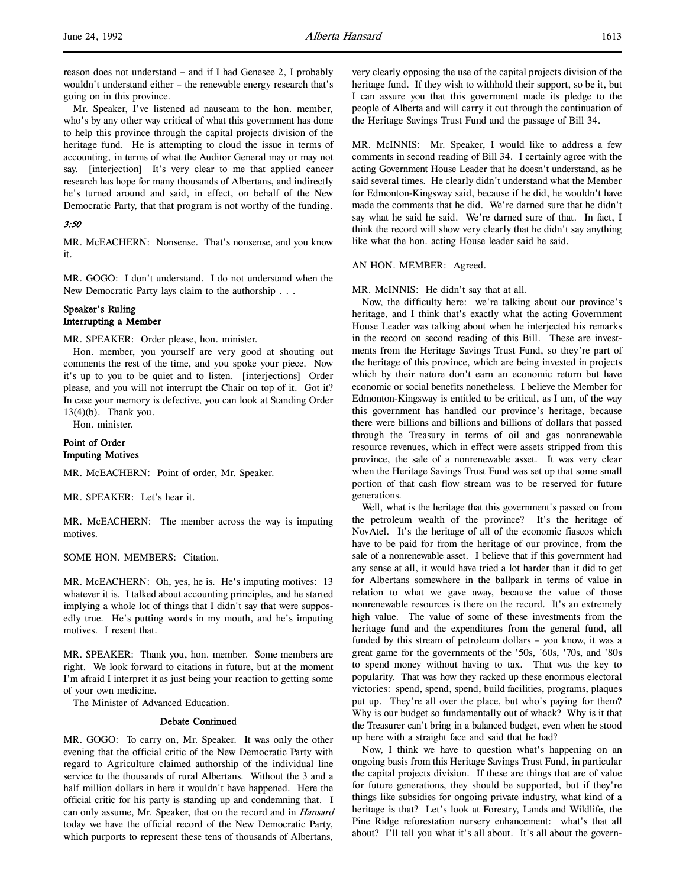Mr. Speaker, I've listened ad nauseam to the hon. member, who's by any other way critical of what this government has done to help this province through the capital projects division of the heritage fund. He is attempting to cloud the issue in terms of accounting, in terms of what the Auditor General may or may not say. [interjection] It's very clear to me that applied cancer research has hope for many thousands of Albertans, and indirectly he's turned around and said, in effect, on behalf of the New Democratic Party, that that program is not worthy of the funding.

# 3:50

MR. McEACHERN: Nonsense. That's nonsense, and you know it.

MR. GOGO: I don't understand. I do not understand when the New Democratic Party lays claim to the authorship . . .

# Speaker's Ruling Interrupting a Member

MR. SPEAKER: Order please, hon. minister.

Hon. member, you yourself are very good at shouting out comments the rest of the time, and you spoke your piece. Now it's up to you to be quiet and to listen. [interjections] Order please, and you will not interrupt the Chair on top of it. Got it? In case your memory is defective, you can look at Standing Order 13(4)(b). Thank you.

Hon. minister.

### Point of Order Imputing Motives

MR. McEACHERN: Point of order, Mr. Speaker.

MR. SPEAKER: Let's hear it.

MR. McEACHERN: The member across the way is imputing motives.

SOME HON. MEMBERS: Citation.

MR. McEACHERN: Oh, yes, he is. He's imputing motives: 13 whatever it is. I talked about accounting principles, and he started implying a whole lot of things that I didn't say that were supposedly true. He's putting words in my mouth, and he's imputing motives. I resent that.

MR. SPEAKER: Thank you, hon. member. Some members are right. We look forward to citations in future, but at the moment I'm afraid I interpret it as just being your reaction to getting some of your own medicine.

The Minister of Advanced Education.

### Debate Continued

MR. GOGO: To carry on, Mr. Speaker. It was only the other evening that the official critic of the New Democratic Party with regard to Agriculture claimed authorship of the individual line service to the thousands of rural Albertans. Without the 3 and a half million dollars in here it wouldn't have happened. Here the official critic for his party is standing up and condemning that. I can only assume, Mr. Speaker, that on the record and in *Hansard* today we have the official record of the New Democratic Party, which purports to represent these tens of thousands of Albertans,

very clearly opposing the use of the capital projects division of the heritage fund. If they wish to withhold their support, so be it, but I can assure you that this government made its pledge to the people of Alberta and will carry it out through the continuation of the Heritage Savings Trust Fund and the passage of Bill 34.

MR. McINNIS: Mr. Speaker, I would like to address a few comments in second reading of Bill 34. I certainly agree with the acting Government House Leader that he doesn't understand, as he said several times. He clearly didn't understand what the Member for Edmonton-Kingsway said, because if he did, he wouldn't have made the comments that he did. We're darned sure that he didn't say what he said he said. We're darned sure of that. In fact, I think the record will show very clearly that he didn't say anything like what the hon. acting House leader said he said.

#### AN HON. MEMBER: Agreed.

MR. McINNIS: He didn't say that at all.

Now, the difficulty here: we're talking about our province's heritage, and I think that's exactly what the acting Government House Leader was talking about when he interjected his remarks in the record on second reading of this Bill. These are investments from the Heritage Savings Trust Fund, so they're part of the heritage of this province, which are being invested in projects which by their nature don't earn an economic return but have economic or social benefits nonetheless. I believe the Member for Edmonton-Kingsway is entitled to be critical, as I am, of the way this government has handled our province's heritage, because there were billions and billions and billions of dollars that passed through the Treasury in terms of oil and gas nonrenewable resource revenues, which in effect were assets stripped from this province, the sale of a nonrenewable asset. It was very clear when the Heritage Savings Trust Fund was set up that some small portion of that cash flow stream was to be reserved for future generations.

Well, what is the heritage that this government's passed on from the petroleum wealth of the province? It's the heritage of NovAtel. It's the heritage of all of the economic fiascos which have to be paid for from the heritage of our province, from the sale of a nonrenewable asset. I believe that if this government had any sense at all, it would have tried a lot harder than it did to get for Albertans somewhere in the ballpark in terms of value in relation to what we gave away, because the value of those nonrenewable resources is there on the record. It's an extremely high value. The value of some of these investments from the heritage fund and the expenditures from the general fund, all funded by this stream of petroleum dollars – you know, it was a great game for the governments of the '50s, '60s, '70s, and '80s to spend money without having to tax. That was the key to popularity. That was how they racked up these enormous electoral victories: spend, spend, spend, build facilities, programs, plaques put up. They're all over the place, but who's paying for them? Why is our budget so fundamentally out of whack? Why is it that the Treasurer can't bring in a balanced budget, even when he stood up here with a straight face and said that he had?

Now, I think we have to question what's happening on an ongoing basis from this Heritage Savings Trust Fund, in particular the capital projects division. If these are things that are of value for future generations, they should be supported, but if they're things like subsidies for ongoing private industry, what kind of a heritage is that? Let's look at Forestry, Lands and Wildlife, the Pine Ridge reforestation nursery enhancement: what's that all about? I'll tell you what it's all about. It's all about the govern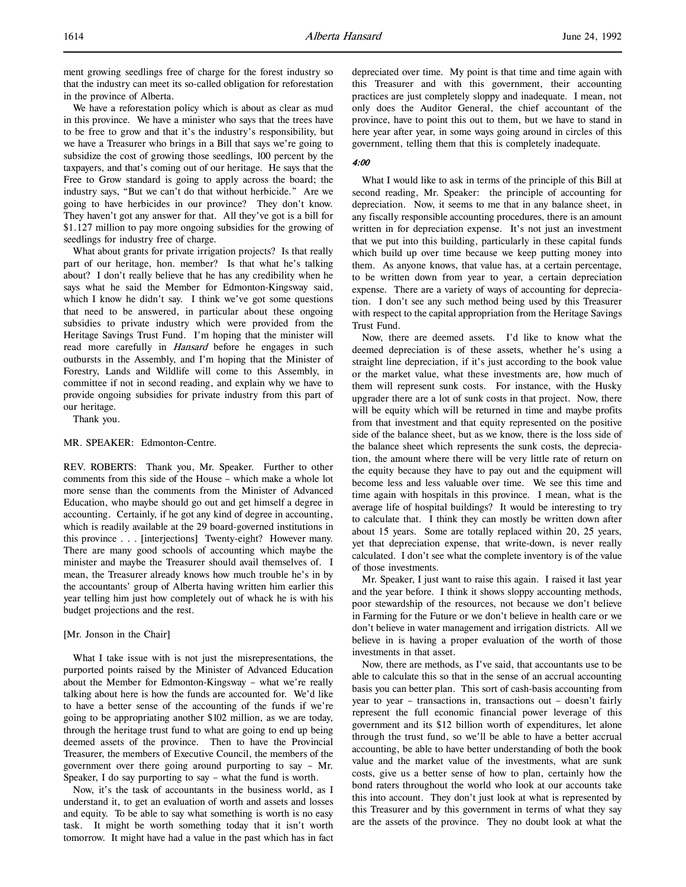ment growing seedlings free of charge for the forest industry so that the industry can meet its so-called obligation for reforestation in the province of Alberta.

We have a reforestation policy which is about as clear as mud in this province. We have a minister who says that the trees have to be free to grow and that it's the industry's responsibility, but we have a Treasurer who brings in a Bill that says we're going to subsidize the cost of growing those seedlings, 100 percent by the taxpayers, and that's coming out of our heritage. He says that the Free to Grow standard is going to apply across the board; the industry says, "But we can't do that without herbicide." Are we going to have herbicides in our province? They don't know. They haven't got any answer for that. All they've got is a bill for \$1.127 million to pay more ongoing subsidies for the growing of seedlings for industry free of charge.

What about grants for private irrigation projects? Is that really part of our heritage, hon. member? Is that what he's talking about? I don't really believe that he has any credibility when he says what he said the Member for Edmonton-Kingsway said, which I know he didn't say. I think we've got some questions that need to be answered, in particular about these ongoing subsidies to private industry which were provided from the Heritage Savings Trust Fund. I'm hoping that the minister will read more carefully in *Hansard* before he engages in such outbursts in the Assembly, and I'm hoping that the Minister of Forestry, Lands and Wildlife will come to this Assembly, in committee if not in second reading, and explain why we have to provide ongoing subsidies for private industry from this part of our heritage.

Thank you.

#### MR. SPEAKER: Edmonton-Centre.

REV. ROBERTS: Thank you, Mr. Speaker. Further to other comments from this side of the House – which make a whole lot more sense than the comments from the Minister of Advanced Education, who maybe should go out and get himself a degree in accounting. Certainly, if he got any kind of degree in accounting, which is readily available at the 29 board-governed institutions in this province . . . [interjections] Twenty-eight? However many. There are many good schools of accounting which maybe the minister and maybe the Treasurer should avail themselves of. I mean, the Treasurer already knows how much trouble he's in by the accountants' group of Alberta having written him earlier this year telling him just how completely out of whack he is with his budget projections and the rest.

#### [Mr. Jonson in the Chair]

What I take issue with is not just the misrepresentations, the purported points raised by the Minister of Advanced Education about the Member for Edmonton-Kingsway – what we're really talking about here is how the funds are accounted for. We'd like to have a better sense of the accounting of the funds if we're going to be appropriating another \$102 million, as we are today, through the heritage trust fund to what are going to end up being deemed assets of the province. Then to have the Provincial Treasurer, the members of Executive Council, the members of the government over there going around purporting to say – Mr. Speaker, I do say purporting to say – what the fund is worth.

Now, it's the task of accountants in the business world, as I understand it, to get an evaluation of worth and assets and losses and equity. To be able to say what something is worth is no easy task. It might be worth something today that it isn't worth tomorrow. It might have had a value in the past which has in fact depreciated over time. My point is that time and time again with this Treasurer and with this government, their accounting practices are just completely sloppy and inadequate. I mean, not only does the Auditor General, the chief accountant of the province, have to point this out to them, but we have to stand in here year after year, in some ways going around in circles of this government, telling them that this is completely inadequate.

#### 4:00

What I would like to ask in terms of the principle of this Bill at second reading, Mr. Speaker: the principle of accounting for depreciation. Now, it seems to me that in any balance sheet, in any fiscally responsible accounting procedures, there is an amount written in for depreciation expense. It's not just an investment that we put into this building, particularly in these capital funds which build up over time because we keep putting money into them. As anyone knows, that value has, at a certain percentage, to be written down from year to year, a certain depreciation expense. There are a variety of ways of accounting for depreciation. I don't see any such method being used by this Treasurer with respect to the capital appropriation from the Heritage Savings Trust Fund.

Now, there are deemed assets. I'd like to know what the deemed depreciation is of these assets, whether he's using a straight line depreciation, if it's just according to the book value or the market value, what these investments are, how much of them will represent sunk costs. For instance, with the Husky upgrader there are a lot of sunk costs in that project. Now, there will be equity which will be returned in time and maybe profits from that investment and that equity represented on the positive side of the balance sheet, but as we know, there is the loss side of the balance sheet which represents the sunk costs, the depreciation, the amount where there will be very little rate of return on the equity because they have to pay out and the equipment will become less and less valuable over time. We see this time and time again with hospitals in this province. I mean, what is the average life of hospital buildings? It would be interesting to try to calculate that. I think they can mostly be written down after about 15 years. Some are totally replaced within 20, 25 years, yet that depreciation expense, that write-down, is never really calculated. I don't see what the complete inventory is of the value of those investments.

Mr. Speaker, I just want to raise this again. I raised it last year and the year before. I think it shows sloppy accounting methods, poor stewardship of the resources, not because we don't believe in Farming for the Future or we don't believe in health care or we don't believe in water management and irrigation districts. All we believe in is having a proper evaluation of the worth of those investments in that asset.

Now, there are methods, as I've said, that accountants use to be able to calculate this so that in the sense of an accrual accounting basis you can better plan. This sort of cash-basis accounting from year to year – transactions in, transactions out – doesn't fairly represent the full economic financial power leverage of this government and its \$12 billion worth of expenditures, let alone through the trust fund, so we'll be able to have a better accrual accounting, be able to have better understanding of both the book value and the market value of the investments, what are sunk costs, give us a better sense of how to plan, certainly how the bond raters throughout the world who look at our accounts take this into account. They don't just look at what is represented by this Treasurer and by this government in terms of what they say are the assets of the province. They no doubt look at what the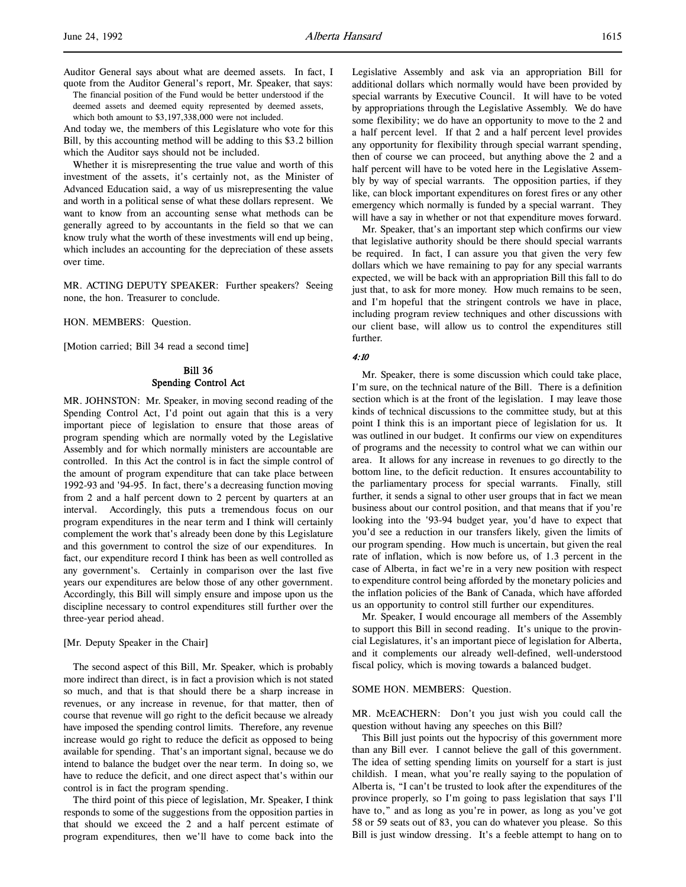Auditor General says about what are deemed assets. In fact, I quote from the Auditor General's report, Mr. Speaker, that says:

The financial position of the Fund would be better understood if the deemed assets and deemed equity represented by deemed assets, which both amount to \$3,197,338,000 were not included.

And today we, the members of this Legislature who vote for this Bill, by this accounting method will be adding to this \$3.2 billion which the Auditor says should not be included.

Whether it is misrepresenting the true value and worth of this investment of the assets, it's certainly not, as the Minister of Advanced Education said, a way of us misrepresenting the value and worth in a political sense of what these dollars represent. We want to know from an accounting sense what methods can be generally agreed to by accountants in the field so that we can know truly what the worth of these investments will end up being, which includes an accounting for the depreciation of these assets over time.

MR. ACTING DEPUTY SPEAKER: Further speakers? Seeing none, the hon. Treasurer to conclude.

HON. MEMBERS: Question.

[Motion carried; Bill 34 read a second time]

# Bill 36 Spending Control Act

MR. JOHNSTON: Mr. Speaker, in moving second reading of the Spending Control Act, I'd point out again that this is a very important piece of legislation to ensure that those areas of program spending which are normally voted by the Legislative Assembly and for which normally ministers are accountable are controlled. In this Act the control is in fact the simple control of the amount of program expenditure that can take place between 1992-93 and '94-95. In fact, there's a decreasing function moving from 2 and a half percent down to 2 percent by quarters at an interval. Accordingly, this puts a tremendous focus on our program expenditures in the near term and I think will certainly complement the work that's already been done by this Legislature and this government to control the size of our expenditures. In fact, our expenditure record I think has been as well controlled as any government's. Certainly in comparison over the last five years our expenditures are below those of any other government. Accordingly, this Bill will simply ensure and impose upon us the discipline necessary to control expenditures still further over the three-year period ahead.

#### [Mr. Deputy Speaker in the Chair]

The second aspect of this Bill, Mr. Speaker, which is probably more indirect than direct, is in fact a provision which is not stated so much, and that is that should there be a sharp increase in revenues, or any increase in revenue, for that matter, then of course that revenue will go right to the deficit because we already have imposed the spending control limits. Therefore, any revenue increase would go right to reduce the deficit as opposed to being available for spending. That's an important signal, because we do intend to balance the budget over the near term. In doing so, we have to reduce the deficit, and one direct aspect that's within our control is in fact the program spending.

The third point of this piece of legislation, Mr. Speaker, I think responds to some of the suggestions from the opposition parties in that should we exceed the 2 and a half percent estimate of program expenditures, then we'll have to come back into the

Legislative Assembly and ask via an appropriation Bill for additional dollars which normally would have been provided by special warrants by Executive Council. It will have to be voted by appropriations through the Legislative Assembly. We do have some flexibility; we do have an opportunity to move to the 2 and a half percent level. If that 2 and a half percent level provides any opportunity for flexibility through special warrant spending, then of course we can proceed, but anything above the 2 and a half percent will have to be voted here in the Legislative Assembly by way of special warrants. The opposition parties, if they like, can block important expenditures on forest fires or any other emergency which normally is funded by a special warrant. They will have a say in whether or not that expenditure moves forward.

Mr. Speaker, that's an important step which confirms our view that legislative authority should be there should special warrants be required. In fact, I can assure you that given the very few dollars which we have remaining to pay for any special warrants expected, we will be back with an appropriation Bill this fall to do just that, to ask for more money. How much remains to be seen, and I'm hopeful that the stringent controls we have in place, including program review techniques and other discussions with our client base, will allow us to control the expenditures still further.

#### 4:10

Mr. Speaker, there is some discussion which could take place, I'm sure, on the technical nature of the Bill. There is a definition section which is at the front of the legislation. I may leave those kinds of technical discussions to the committee study, but at this point I think this is an important piece of legislation for us. It was outlined in our budget. It confirms our view on expenditures of programs and the necessity to control what we can within our area. It allows for any increase in revenues to go directly to the bottom line, to the deficit reduction. It ensures accountability to the parliamentary process for special warrants. Finally, still further, it sends a signal to other user groups that in fact we mean business about our control position, and that means that if you're looking into the '93-94 budget year, you'd have to expect that you'd see a reduction in our transfers likely, given the limits of our program spending. How much is uncertain, but given the real rate of inflation, which is now before us, of 1.3 percent in the case of Alberta, in fact we're in a very new position with respect to expenditure control being afforded by the monetary policies and the inflation policies of the Bank of Canada, which have afforded us an opportunity to control still further our expenditures.

Mr. Speaker, I would encourage all members of the Assembly to support this Bill in second reading. It's unique to the provincial Legislatures, it's an important piece of legislation for Alberta, and it complements our already well-defined, well-understood fiscal policy, which is moving towards a balanced budget.

#### SOME HON. MEMBERS: Question.

MR. McEACHERN: Don't you just wish you could call the question without having any speeches on this Bill?

This Bill just points out the hypocrisy of this government more than any Bill ever. I cannot believe the gall of this government. The idea of setting spending limits on yourself for a start is just childish. I mean, what you're really saying to the population of Alberta is, "I can't be trusted to look after the expenditures of the province properly, so I'm going to pass legislation that says I'll have to," and as long as you're in power, as long as you've got 58 or 59 seats out of 83, you can do whatever you please. So this Bill is just window dressing. It's a feeble attempt to hang on to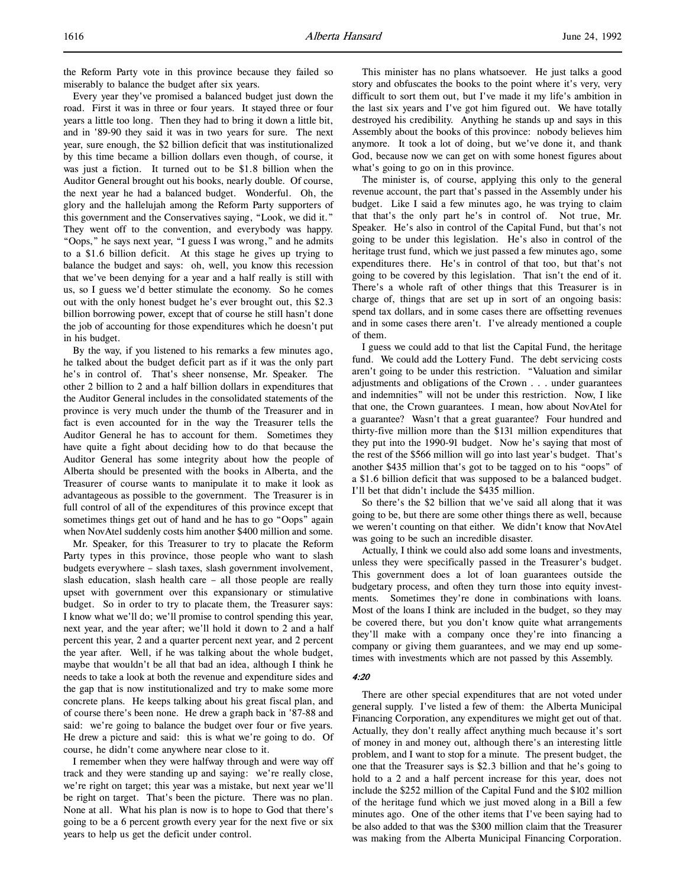the Reform Party vote in this province because they failed so miserably to balance the budget after six years.

Every year they've promised a balanced budget just down the road. First it was in three or four years. It stayed three or four years a little too long. Then they had to bring it down a little bit, and in '89-90 they said it was in two years for sure. The next year, sure enough, the \$2 billion deficit that was institutionalized by this time became a billion dollars even though, of course, it was just a fiction. It turned out to be \$1.8 billion when the Auditor General brought out his books, nearly double. Of course, the next year he had a balanced budget. Wonderful. Oh, the glory and the hallelujah among the Reform Party supporters of this government and the Conservatives saying, "Look, we did it." They went off to the convention, and everybody was happy. "Oops," he says next year, "I guess I was wrong," and he admits to a \$1.6 billion deficit. At this stage he gives up trying to balance the budget and says: oh, well, you know this recession that we've been denying for a year and a half really is still with us, so I guess we'd better stimulate the economy. So he comes out with the only honest budget he's ever brought out, this \$2.3 billion borrowing power, except that of course he still hasn't done the job of accounting for those expenditures which he doesn't put in his budget.

By the way, if you listened to his remarks a few minutes ago, he talked about the budget deficit part as if it was the only part he's in control of. That's sheer nonsense, Mr. Speaker. The other 2 billion to 2 and a half billion dollars in expenditures that the Auditor General includes in the consolidated statements of the province is very much under the thumb of the Treasurer and in fact is even accounted for in the way the Treasurer tells the Auditor General he has to account for them. Sometimes they have quite a fight about deciding how to do that because the Auditor General has some integrity about how the people of Alberta should be presented with the books in Alberta, and the Treasurer of course wants to manipulate it to make it look as advantageous as possible to the government. The Treasurer is in full control of all of the expenditures of this province except that sometimes things get out of hand and he has to go "Oops" again when NovAtel suddenly costs him another \$400 million and some.

Mr. Speaker, for this Treasurer to try to placate the Reform Party types in this province, those people who want to slash budgets everywhere – slash taxes, slash government involvement, slash education, slash health care – all those people are really upset with government over this expansionary or stimulative budget. So in order to try to placate them, the Treasurer says: I know what we'll do; we'll promise to control spending this year, next year, and the year after; we'll hold it down to 2 and a half percent this year, 2 and a quarter percent next year, and 2 percent the year after. Well, if he was talking about the whole budget, maybe that wouldn't be all that bad an idea, although I think he needs to take a look at both the revenue and expenditure sides and the gap that is now institutionalized and try to make some more concrete plans. He keeps talking about his great fiscal plan, and of course there's been none. He drew a graph back in '87-88 and said: we're going to balance the budget over four or five years. He drew a picture and said: this is what we're going to do. Of course, he didn't come anywhere near close to it.

I remember when they were halfway through and were way off track and they were standing up and saying: we're really close, we're right on target; this year was a mistake, but next year we'll be right on target. That's been the picture. There was no plan. None at all. What his plan is now is to hope to God that there's going to be a 6 percent growth every year for the next five or six years to help us get the deficit under control.

This minister has no plans whatsoever. He just talks a good story and obfuscates the books to the point where it's very, very difficult to sort them out, but I've made it my life's ambition in the last six years and I've got him figured out. We have totally destroyed his credibility. Anything he stands up and says in this Assembly about the books of this province: nobody believes him anymore. It took a lot of doing, but we've done it, and thank God, because now we can get on with some honest figures about what's going to go on in this province.

The minister is, of course, applying this only to the general revenue account, the part that's passed in the Assembly under his budget. Like I said a few minutes ago, he was trying to claim that that's the only part he's in control of. Not true, Mr. Speaker. He's also in control of the Capital Fund, but that's not going to be under this legislation. He's also in control of the heritage trust fund, which we just passed a few minutes ago, some expenditures there. He's in control of that too, but that's not going to be covered by this legislation. That isn't the end of it. There's a whole raft of other things that this Treasurer is in charge of, things that are set up in sort of an ongoing basis: spend tax dollars, and in some cases there are offsetting revenues and in some cases there aren't. I've already mentioned a couple of them.

I guess we could add to that list the Capital Fund, the heritage fund. We could add the Lottery Fund. The debt servicing costs aren't going to be under this restriction. "Valuation and similar adjustments and obligations of the Crown . . . under guarantees and indemnities" will not be under this restriction. Now, I like that one, the Crown guarantees. I mean, how about NovAtel for a guarantee? Wasn't that a great guarantee? Four hundred and thirty-five million more than the \$131 million expenditures that they put into the 1990-91 budget. Now he's saying that most of the rest of the \$566 million will go into last year's budget. That's another \$435 million that's got to be tagged on to his "oops" of a \$1.6 billion deficit that was supposed to be a balanced budget. I'll bet that didn't include the \$435 million.

So there's the \$2 billion that we've said all along that it was going to be, but there are some other things there as well, because we weren't counting on that either. We didn't know that NovAtel was going to be such an incredible disaster.

Actually, I think we could also add some loans and investments, unless they were specifically passed in the Treasurer's budget. This government does a lot of loan guarantees outside the budgetary process, and often they turn those into equity investments. Sometimes they're done in combinations with loans. Most of the loans I think are included in the budget, so they may be covered there, but you don't know quite what arrangements they'll make with a company once they're into financing a company or giving them guarantees, and we may end up sometimes with investments which are not passed by this Assembly.

#### 4:20

There are other special expenditures that are not voted under general supply. I've listed a few of them: the Alberta Municipal Financing Corporation, any expenditures we might get out of that. Actually, they don't really affect anything much because it's sort of money in and money out, although there's an interesting little problem, and I want to stop for a minute. The present budget, the one that the Treasurer says is \$2.3 billion and that he's going to hold to a 2 and a half percent increase for this year, does not include the \$252 million of the Capital Fund and the \$102 million of the heritage fund which we just moved along in a Bill a few minutes ago. One of the other items that I've been saying had to be also added to that was the \$300 million claim that the Treasurer was making from the Alberta Municipal Financing Corporation.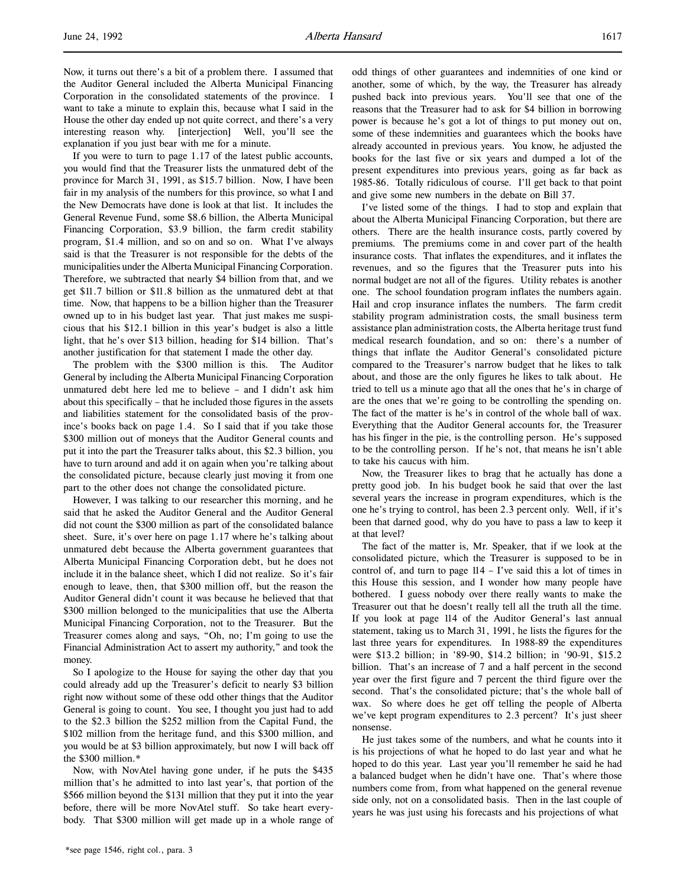Now, it turns out there's a bit of a problem there. I assumed that the Auditor General included the Alberta Municipal Financing Corporation in the consolidated statements of the province. I want to take a minute to explain this, because what I said in the House the other day ended up not quite correct, and there's a very interesting reason why. [interjection] Well, you'll see the explanation if you just bear with me for a minute.

If you were to turn to page 1.17 of the latest public accounts, you would find that the Treasurer lists the unmatured debt of the province for March 31, 1991, as \$15.7 billion. Now, I have been fair in my analysis of the numbers for this province, so what I and the New Democrats have done is look at that list. It includes the General Revenue Fund, some \$8.6 billion, the Alberta Municipal Financing Corporation, \$3.9 billion, the farm credit stability program, \$1.4 million, and so on and so on. What I've always said is that the Treasurer is not responsible for the debts of the municipalities under the Alberta Municipal Financing Corporation. Therefore, we subtracted that nearly \$4 billion from that, and we get \$11.7 billion or \$11.8 billion as the unmatured debt at that time. Now, that happens to be a billion higher than the Treasurer owned up to in his budget last year. That just makes me suspicious that his \$12.1 billion in this year's budget is also a little light, that he's over \$13 billion, heading for \$14 billion. That's another justification for that statement I made the other day.

The problem with the \$300 million is this. The Auditor General by including the Alberta Municipal Financing Corporation unmatured debt here led me to believe – and I didn't ask him about this specifically – that he included those figures in the assets and liabilities statement for the consolidated basis of the province's books back on page 1.4. So I said that if you take those \$300 million out of moneys that the Auditor General counts and put it into the part the Treasurer talks about, this \$2.3 billion, you have to turn around and add it on again when you're talking about the consolidated picture, because clearly just moving it from one part to the other does not change the consolidated picture.

However, I was talking to our researcher this morning, and he said that he asked the Auditor General and the Auditor General did not count the \$300 million as part of the consolidated balance sheet. Sure, it's over here on page 1.17 where he's talking about unmatured debt because the Alberta government guarantees that Alberta Municipal Financing Corporation debt, but he does not include it in the balance sheet, which I did not realize. So it's fair enough to leave, then, that \$300 million off, but the reason the Auditor General didn't count it was because he believed that that \$300 million belonged to the municipalities that use the Alberta Municipal Financing Corporation, not to the Treasurer. But the Treasurer comes along and says, "Oh, no; I'm going to use the Financial Administration Act to assert my authority," and took the money.

So I apologize to the House for saying the other day that you could already add up the Treasurer's deficit to nearly \$3 billion right now without some of these odd other things that the Auditor General is going to count. You see, I thought you just had to add to the \$2.3 billion the \$252 million from the Capital Fund, the \$102 million from the heritage fund, and this \$300 million, and you would be at \$3 billion approximately, but now I will back off the \$300 million.\*

Now, with NovAtel having gone under, if he puts the \$435 million that's he admitted to into last year's, that portion of the \$566 million beyond the \$131 million that they put it into the year before, there will be more NovAtel stuff. So take heart everybody. That \$300 million will get made up in a whole range of odd things of other guarantees and indemnities of one kind or another, some of which, by the way, the Treasurer has already pushed back into previous years. You'll see that one of the reasons that the Treasurer had to ask for \$4 billion in borrowing power is because he's got a lot of things to put money out on, some of these indemnities and guarantees which the books have already accounted in previous years. You know, he adjusted the books for the last five or six years and dumped a lot of the present expenditures into previous years, going as far back as 1985-86. Totally ridiculous of course. I'll get back to that point and give some new numbers in the debate on Bill 37.

I've listed some of the things. I had to stop and explain that about the Alberta Municipal Financing Corporation, but there are others. There are the health insurance costs, partly covered by premiums. The premiums come in and cover part of the health insurance costs. That inflates the expenditures, and it inflates the revenues, and so the figures that the Treasurer puts into his normal budget are not all of the figures. Utility rebates is another one. The school foundation program inflates the numbers again. Hail and crop insurance inflates the numbers. The farm credit stability program administration costs, the small business term assistance plan administration costs, the Alberta heritage trust fund medical research foundation, and so on: there's a number of things that inflate the Auditor General's consolidated picture compared to the Treasurer's narrow budget that he likes to talk about, and those are the only figures he likes to talk about. He tried to tell us a minute ago that all the ones that he's in charge of are the ones that we're going to be controlling the spending on. The fact of the matter is he's in control of the whole ball of wax. Everything that the Auditor General accounts for, the Treasurer has his finger in the pie, is the controlling person. He's supposed to be the controlling person. If he's not, that means he isn't able to take his caucus with him.

Now, the Treasurer likes to brag that he actually has done a pretty good job. In his budget book he said that over the last several years the increase in program expenditures, which is the one he's trying to control, has been 2.3 percent only. Well, if it's been that darned good, why do you have to pass a law to keep it at that level?

The fact of the matter is, Mr. Speaker, that if we look at the consolidated picture, which the Treasurer is supposed to be in control of, and turn to page 114 – I've said this a lot of times in this House this session, and I wonder how many people have bothered. I guess nobody over there really wants to make the Treasurer out that he doesn't really tell all the truth all the time. If you look at page 114 of the Auditor General's last annual statement, taking us to March 31, 1991, he lists the figures for the last three years for expenditures. In 1988-89 the expenditures were \$13.2 billion; in '89-90, \$14.2 billion; in '90-91, \$15.2 billion. That's an increase of 7 and a half percent in the second year over the first figure and 7 percent the third figure over the second. That's the consolidated picture; that's the whole ball of wax. So where does he get off telling the people of Alberta we've kept program expenditures to 2.3 percent? It's just sheer nonsense.

He just takes some of the numbers, and what he counts into it is his projections of what he hoped to do last year and what he hoped to do this year. Last year you'll remember he said he had a balanced budget when he didn't have one. That's where those numbers come from, from what happened on the general revenue side only, not on a consolidated basis. Then in the last couple of years he was just using his forecasts and his projections of what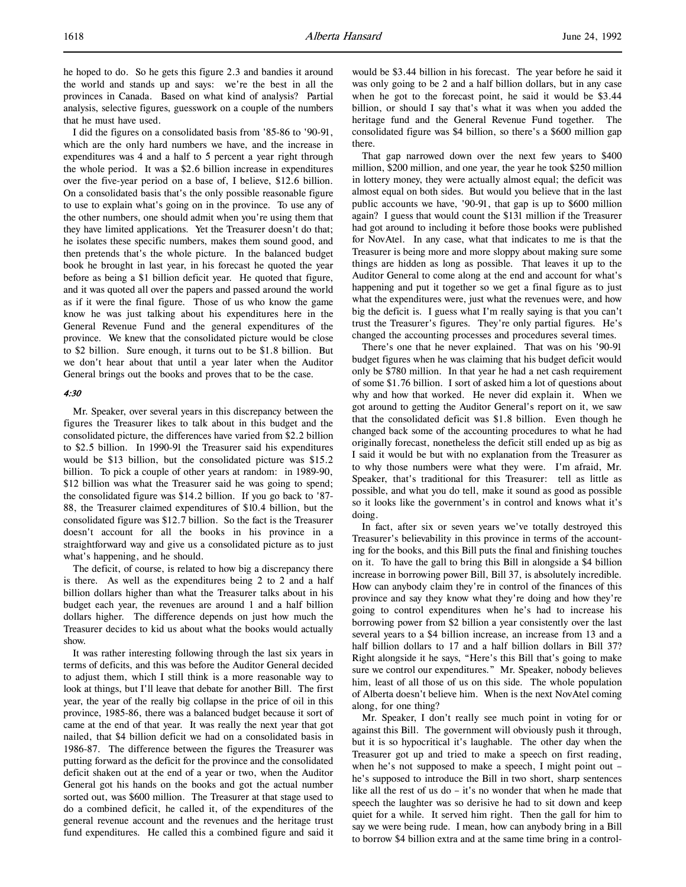I did the figures on a consolidated basis from '85-86 to '90-91, which are the only hard numbers we have, and the increase in expenditures was 4 and a half to 5 percent a year right through the whole period. It was a \$2.6 billion increase in expenditures over the five-year period on a base of, I believe, \$12.6 billion. On a consolidated basis that's the only possible reasonable figure to use to explain what's going on in the province. To use any of the other numbers, one should admit when you're using them that they have limited applications. Yet the Treasurer doesn't do that; he isolates these specific numbers, makes them sound good, and then pretends that's the whole picture. In the balanced budget book he brought in last year, in his forecast he quoted the year before as being a \$1 billion deficit year. He quoted that figure, and it was quoted all over the papers and passed around the world as if it were the final figure. Those of us who know the game know he was just talking about his expenditures here in the General Revenue Fund and the general expenditures of the province. We knew that the consolidated picture would be close to \$2 billion. Sure enough, it turns out to be \$1.8 billion. But we don't hear about that until a year later when the Auditor General brings out the books and proves that to be the case.

#### 4:30

Mr. Speaker, over several years in this discrepancy between the figures the Treasurer likes to talk about in this budget and the consolidated picture, the differences have varied from \$2.2 billion to \$2.5 billion. In 1990-91 the Treasurer said his expenditures would be \$13 billion, but the consolidated picture was \$15.2 billion. To pick a couple of other years at random: in 1989-90, \$12 billion was what the Treasurer said he was going to spend; the consolidated figure was \$14.2 billion. If you go back to '87- 88, the Treasurer claimed expenditures of \$10.4 billion, but the consolidated figure was \$12.7 billion. So the fact is the Treasurer doesn't account for all the books in his province in a straightforward way and give us a consolidated picture as to just what's happening, and he should.

The deficit, of course, is related to how big a discrepancy there is there. As well as the expenditures being 2 to 2 and a half billion dollars higher than what the Treasurer talks about in his budget each year, the revenues are around 1 and a half billion dollars higher. The difference depends on just how much the Treasurer decides to kid us about what the books would actually show.

It was rather interesting following through the last six years in terms of deficits, and this was before the Auditor General decided to adjust them, which I still think is a more reasonable way to look at things, but I'll leave that debate for another Bill. The first year, the year of the really big collapse in the price of oil in this province, 1985-86, there was a balanced budget because it sort of came at the end of that year. It was really the next year that got nailed, that \$4 billion deficit we had on a consolidated basis in 1986-87. The difference between the figures the Treasurer was putting forward as the deficit for the province and the consolidated deficit shaken out at the end of a year or two, when the Auditor General got his hands on the books and got the actual number sorted out, was \$600 million. The Treasurer at that stage used to do a combined deficit, he called it, of the expenditures of the general revenue account and the revenues and the heritage trust fund expenditures. He called this a combined figure and said it would be \$3.44 billion in his forecast. The year before he said it was only going to be 2 and a half billion dollars, but in any case when he got to the forecast point, he said it would be \$3.44 billion, or should I say that's what it was when you added the heritage fund and the General Revenue Fund together. The consolidated figure was \$4 billion, so there's a \$600 million gap there.

That gap narrowed down over the next few years to \$400 million, \$200 million, and one year, the year he took \$250 million in lottery money, they were actually almost equal; the deficit was almost equal on both sides. But would you believe that in the last public accounts we have, '90-91, that gap is up to \$600 million again? I guess that would count the \$131 million if the Treasurer had got around to including it before those books were published for NovAtel. In any case, what that indicates to me is that the Treasurer is being more and more sloppy about making sure some things are hidden as long as possible. That leaves it up to the Auditor General to come along at the end and account for what's happening and put it together so we get a final figure as to just what the expenditures were, just what the revenues were, and how big the deficit is. I guess what I'm really saying is that you can't trust the Treasurer's figures. They're only partial figures. He's changed the accounting processes and procedures several times.

There's one that he never explained. That was on his '90-91 budget figures when he was claiming that his budget deficit would only be \$780 million. In that year he had a net cash requirement of some \$1.76 billion. I sort of asked him a lot of questions about why and how that worked. He never did explain it. When we got around to getting the Auditor General's report on it, we saw that the consolidated deficit was \$1.8 billion. Even though he changed back some of the accounting procedures to what he had originally forecast, nonetheless the deficit still ended up as big as I said it would be but with no explanation from the Treasurer as to why those numbers were what they were. I'm afraid, Mr. Speaker, that's traditional for this Treasurer: tell as little as possible, and what you do tell, make it sound as good as possible so it looks like the government's in control and knows what it's doing.

In fact, after six or seven years we've totally destroyed this Treasurer's believability in this province in terms of the accounting for the books, and this Bill puts the final and finishing touches on it. To have the gall to bring this Bill in alongside a \$4 billion increase in borrowing power Bill, Bill 37, is absolutely incredible. How can anybody claim they're in control of the finances of this province and say they know what they're doing and how they're going to control expenditures when he's had to increase his borrowing power from \$2 billion a year consistently over the last several years to a \$4 billion increase, an increase from 13 and a half billion dollars to 17 and a half billion dollars in Bill 37? Right alongside it he says, "Here's this Bill that's going to make sure we control our expenditures." Mr. Speaker, nobody believes him, least of all those of us on this side. The whole population of Alberta doesn't believe him. When is the next NovAtel coming along, for one thing?

Mr. Speaker, I don't really see much point in voting for or against this Bill. The government will obviously push it through, but it is so hypocritical it's laughable. The other day when the Treasurer got up and tried to make a speech on first reading, when he's not supposed to make a speech, I might point out – he's supposed to introduce the Bill in two short, sharp sentences like all the rest of us do – it's no wonder that when he made that speech the laughter was so derisive he had to sit down and keep quiet for a while. It served him right. Then the gall for him to say we were being rude. I mean, how can anybody bring in a Bill to borrow \$4 billion extra and at the same time bring in a control-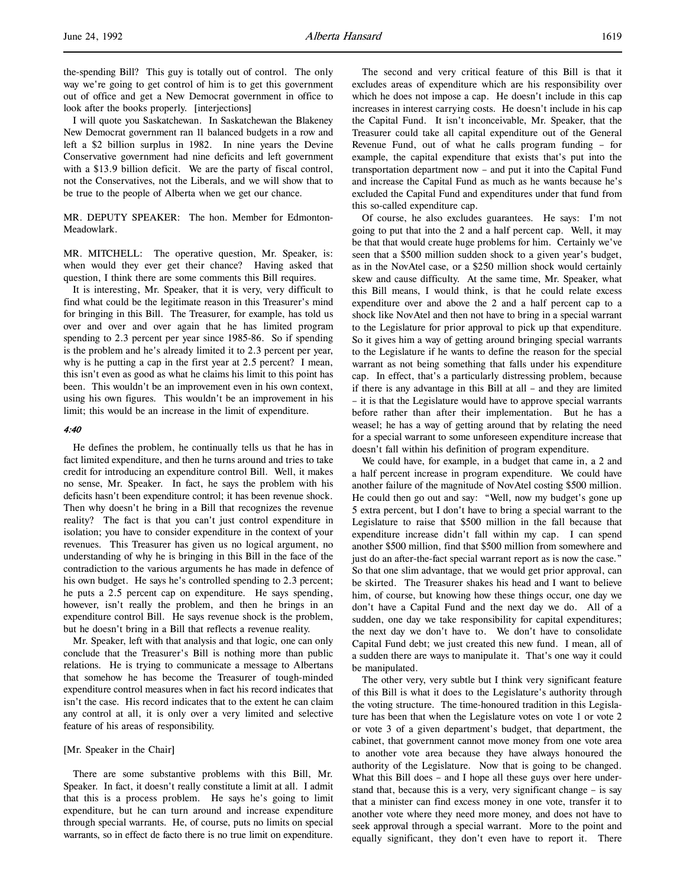the-spending Bill? This guy is totally out of control. The only way we're going to get control of him is to get this government out of office and get a New Democrat government in office to look after the books properly. [interjections]

I will quote you Saskatchewan. In Saskatchewan the Blakeney New Democrat government ran 11 balanced budgets in a row and left a \$2 billion surplus in 1982. In nine years the Devine Conservative government had nine deficits and left government with a \$13.9 billion deficit. We are the party of fiscal control, not the Conservatives, not the Liberals, and we will show that to be true to the people of Alberta when we get our chance.

MR. DEPUTY SPEAKER: The hon. Member for Edmonton-Meadowlark.

MR. MITCHELL: The operative question, Mr. Speaker, is: when would they ever get their chance? Having asked that question, I think there are some comments this Bill requires.

It is interesting, Mr. Speaker, that it is very, very difficult to find what could be the legitimate reason in this Treasurer's mind for bringing in this Bill. The Treasurer, for example, has told us over and over and over again that he has limited program spending to 2.3 percent per year since 1985-86. So if spending is the problem and he's already limited it to 2.3 percent per year, why is he putting a cap in the first year at 2.5 percent? I mean, this isn't even as good as what he claims his limit to this point has been. This wouldn't be an improvement even in his own context, using his own figures. This wouldn't be an improvement in his limit; this would be an increase in the limit of expenditure.

#### 4:40

He defines the problem, he continually tells us that he has in fact limited expenditure, and then he turns around and tries to take credit for introducing an expenditure control Bill. Well, it makes no sense, Mr. Speaker. In fact, he says the problem with his deficits hasn't been expenditure control; it has been revenue shock. Then why doesn't he bring in a Bill that recognizes the revenue reality? The fact is that you can't just control expenditure in isolation; you have to consider expenditure in the context of your revenues. This Treasurer has given us no logical argument, no understanding of why he is bringing in this Bill in the face of the contradiction to the various arguments he has made in defence of his own budget. He says he's controlled spending to 2.3 percent; he puts a 2.5 percent cap on expenditure. He says spending, however, isn't really the problem, and then he brings in an expenditure control Bill. He says revenue shock is the problem, but he doesn't bring in a Bill that reflects a revenue reality.

Mr. Speaker, left with that analysis and that logic, one can only conclude that the Treasurer's Bill is nothing more than public relations. He is trying to communicate a message to Albertans that somehow he has become the Treasurer of tough-minded expenditure control measures when in fact his record indicates that isn't the case. His record indicates that to the extent he can claim any control at all, it is only over a very limited and selective feature of his areas of responsibility.

#### [Mr. Speaker in the Chair]

There are some substantive problems with this Bill, Mr. Speaker. In fact, it doesn't really constitute a limit at all. I admit that this is a process problem. He says he's going to limit expenditure, but he can turn around and increase expenditure through special warrants. He, of course, puts no limits on special warrants, so in effect de facto there is no true limit on expenditure.

The second and very critical feature of this Bill is that it excludes areas of expenditure which are his responsibility over which he does not impose a cap. He doesn't include in this cap increases in interest carrying costs. He doesn't include in his cap the Capital Fund. It isn't inconceivable, Mr. Speaker, that the Treasurer could take all capital expenditure out of the General Revenue Fund, out of what he calls program funding – for example, the capital expenditure that exists that's put into the transportation department now – and put it into the Capital Fund and increase the Capital Fund as much as he wants because he's excluded the Capital Fund and expenditures under that fund from this so-called expenditure cap.

Of course, he also excludes guarantees. He says: I'm not going to put that into the 2 and a half percent cap. Well, it may be that that would create huge problems for him. Certainly we've seen that a \$500 million sudden shock to a given year's budget, as in the NovAtel case, or a \$250 million shock would certainly skew and cause difficulty. At the same time, Mr. Speaker, what this Bill means, I would think, is that he could relate excess expenditure over and above the 2 and a half percent cap to a shock like NovAtel and then not have to bring in a special warrant to the Legislature for prior approval to pick up that expenditure. So it gives him a way of getting around bringing special warrants to the Legislature if he wants to define the reason for the special warrant as not being something that falls under his expenditure cap. In effect, that's a particularly distressing problem, because if there is any advantage in this Bill at all – and they are limited – it is that the Legislature would have to approve special warrants before rather than after their implementation. But he has a weasel; he has a way of getting around that by relating the need for a special warrant to some unforeseen expenditure increase that doesn't fall within his definition of program expenditure.

We could have, for example, in a budget that came in, a 2 and a half percent increase in program expenditure. We could have another failure of the magnitude of NovAtel costing \$500 million. He could then go out and say: "Well, now my budget's gone up 5 extra percent, but I don't have to bring a special warrant to the Legislature to raise that \$500 million in the fall because that expenditure increase didn't fall within my cap. I can spend another \$500 million, find that \$500 million from somewhere and just do an after-the-fact special warrant report as is now the case." So that one slim advantage, that we would get prior approval, can be skirted. The Treasurer shakes his head and I want to believe him, of course, but knowing how these things occur, one day we don't have a Capital Fund and the next day we do. All of a sudden, one day we take responsibility for capital expenditures; the next day we don't have to. We don't have to consolidate Capital Fund debt; we just created this new fund. I mean, all of a sudden there are ways to manipulate it. That's one way it could be manipulated.

The other very, very subtle but I think very significant feature of this Bill is what it does to the Legislature's authority through the voting structure. The time-honoured tradition in this Legislature has been that when the Legislature votes on vote 1 or vote 2 or vote 3 of a given department's budget, that department, the cabinet, that government cannot move money from one vote area to another vote area because they have always honoured the authority of the Legislature. Now that is going to be changed. What this Bill does – and I hope all these guys over here understand that, because this is a very, very significant change – is say that a minister can find excess money in one vote, transfer it to another vote where they need more money, and does not have to seek approval through a special warrant. More to the point and equally significant, they don't even have to report it. There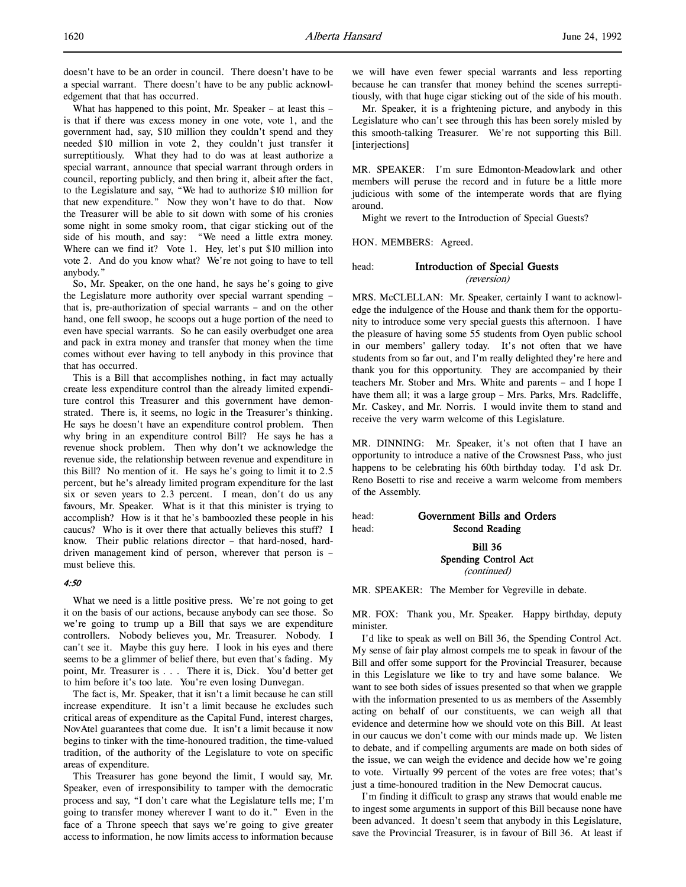doesn't have to be an order in council. There doesn't have to be a special warrant. There doesn't have to be any public acknowledgement that that has occurred.

What has happened to this point, Mr. Speaker – at least this – is that if there was excess money in one vote, vote 1, and the government had, say, \$10 million they couldn't spend and they needed \$10 million in vote 2, they couldn't just transfer it surreptitiously. What they had to do was at least authorize a special warrant, announce that special warrant through orders in council, reporting publicly, and then bring it, albeit after the fact, to the Legislature and say, "We had to authorize \$10 million for that new expenditure." Now they won't have to do that. Now the Treasurer will be able to sit down with some of his cronies some night in some smoky room, that cigar sticking out of the side of his mouth, and say: "We need a little extra money. Where can we find it? Vote 1. Hey, let's put \$10 million into vote 2. And do you know what? We're not going to have to tell anybody."

So, Mr. Speaker, on the one hand, he says he's going to give the Legislature more authority over special warrant spending – that is, pre-authorization of special warrants – and on the other hand, one fell swoop, he scoops out a huge portion of the need to even have special warrants. So he can easily overbudget one area and pack in extra money and transfer that money when the time comes without ever having to tell anybody in this province that that has occurred.

This is a Bill that accomplishes nothing, in fact may actually create less expenditure control than the already limited expenditure control this Treasurer and this government have demonstrated. There is, it seems, no logic in the Treasurer's thinking. He says he doesn't have an expenditure control problem. Then why bring in an expenditure control Bill? He says he has a revenue shock problem. Then why don't we acknowledge the revenue side, the relationship between revenue and expenditure in this Bill? No mention of it. He says he's going to limit it to 2.5 percent, but he's already limited program expenditure for the last six or seven years to 2.3 percent. I mean, don't do us any favours, Mr. Speaker. What is it that this minister is trying to accomplish? How is it that he's bamboozled these people in his caucus? Who is it over there that actually believes this stuff? I know. Their public relations director – that hard-nosed, harddriven management kind of person, wherever that person is – must believe this.

# 4:50

What we need is a little positive press. We're not going to get it on the basis of our actions, because anybody can see those. So we're going to trump up a Bill that says we are expenditure controllers. Nobody believes you, Mr. Treasurer. Nobody. I can't see it. Maybe this guy here. I look in his eyes and there seems to be a glimmer of belief there, but even that's fading. My point, Mr. Treasurer is . . . There it is, Dick. You'd better get to him before it's too late. You're even losing Dunvegan.

The fact is, Mr. Speaker, that it isn't a limit because he can still increase expenditure. It isn't a limit because he excludes such critical areas of expenditure as the Capital Fund, interest charges, NovAtel guarantees that come due. It isn't a limit because it now begins to tinker with the time-honoured tradition, the time-valued tradition, of the authority of the Legislature to vote on specific areas of expenditure.

This Treasurer has gone beyond the limit, I would say, Mr. Speaker, even of irresponsibility to tamper with the democratic process and say, "I don't care what the Legislature tells me; I'm going to transfer money wherever I want to do it." Even in the face of a Throne speech that says we're going to give greater access to information, he now limits access to information because

we will have even fewer special warrants and less reporting because he can transfer that money behind the scenes surreptitiously, with that huge cigar sticking out of the side of his mouth.

Mr. Speaker, it is a frightening picture, and anybody in this Legislature who can't see through this has been sorely misled by this smooth-talking Treasurer. We're not supporting this Bill. [interjections]

MR. SPEAKER: I'm sure Edmonton-Meadowlark and other members will peruse the record and in future be a little more judicious with some of the intemperate words that are flying around.

Might we revert to the Introduction of Special Guests?

HON. MEMBERS: Agreed.

# head: Introduction of Special Guests (reversion)

MRS. McCLELLAN: Mr. Speaker, certainly I want to acknowledge the indulgence of the House and thank them for the opportunity to introduce some very special guests this afternoon. I have the pleasure of having some 55 students from Oyen public school in our members' gallery today. It's not often that we have students from so far out, and I'm really delighted they're here and thank you for this opportunity. They are accompanied by their teachers Mr. Stober and Mrs. White and parents – and I hope I have them all; it was a large group - Mrs. Parks, Mrs. Radcliffe, Mr. Caskey, and Mr. Norris. I would invite them to stand and receive the very warm welcome of this Legislature.

MR. DINNING: Mr. Speaker, it's not often that I have an opportunity to introduce a native of the Crowsnest Pass, who just happens to be celebrating his 60th birthday today. I'd ask Dr. Reno Bosetti to rise and receive a warm welcome from members of the Assembly.

# head: Government Bills and Orders head: **Second Reading** Bill 36

Spending Control Act (continued)

MR. SPEAKER: The Member for Vegreville in debate.

MR. FOX: Thank you, Mr. Speaker. Happy birthday, deputy minister.

I'd like to speak as well on Bill 36, the Spending Control Act. My sense of fair play almost compels me to speak in favour of the Bill and offer some support for the Provincial Treasurer, because in this Legislature we like to try and have some balance. We want to see both sides of issues presented so that when we grapple with the information presented to us as members of the Assembly acting on behalf of our constituents, we can weigh all that evidence and determine how we should vote on this Bill. At least in our caucus we don't come with our minds made up. We listen to debate, and if compelling arguments are made on both sides of the issue, we can weigh the evidence and decide how we're going to vote. Virtually 99 percent of the votes are free votes; that's just a time-honoured tradition in the New Democrat caucus.

I'm finding it difficult to grasp any straws that would enable me to ingest some arguments in support of this Bill because none have been advanced. It doesn't seem that anybody in this Legislature, save the Provincial Treasurer, is in favour of Bill 36. At least if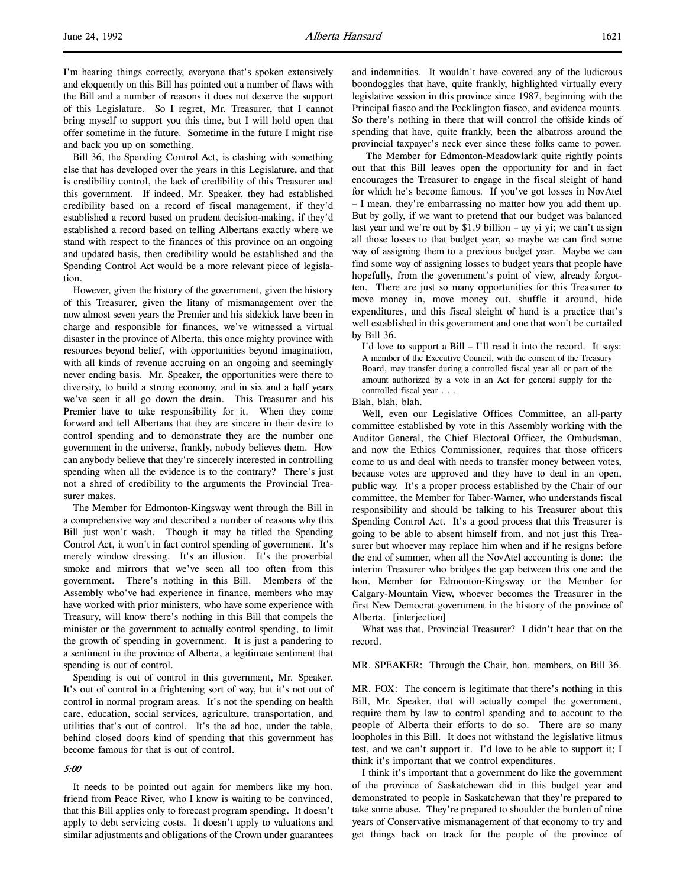I'm hearing things correctly, everyone that's spoken extensively and eloquently on this Bill has pointed out a number of flaws with the Bill and a number of reasons it does not deserve the support of this Legislature. So I regret, Mr. Treasurer, that I cannot bring myself to support you this time, but I will hold open that offer sometime in the future. Sometime in the future I might rise and back you up on something.

Bill 36, the Spending Control Act, is clashing with something else that has developed over the years in this Legislature, and that is credibility control, the lack of credibility of this Treasurer and this government. If indeed, Mr. Speaker, they had established credibility based on a record of fiscal management, if they'd established a record based on prudent decision-making, if they'd established a record based on telling Albertans exactly where we stand with respect to the finances of this province on an ongoing and updated basis, then credibility would be established and the Spending Control Act would be a more relevant piece of legislation.

However, given the history of the government, given the history of this Treasurer, given the litany of mismanagement over the now almost seven years the Premier and his sidekick have been in charge and responsible for finances, we've witnessed a virtual disaster in the province of Alberta, this once mighty province with resources beyond belief, with opportunities beyond imagination, with all kinds of revenue accruing on an ongoing and seemingly never ending basis. Mr. Speaker, the opportunities were there to diversity, to build a strong economy, and in six and a half years we've seen it all go down the drain. This Treasurer and his Premier have to take responsibility for it. When they come forward and tell Albertans that they are sincere in their desire to control spending and to demonstrate they are the number one government in the universe, frankly, nobody believes them. How can anybody believe that they're sincerely interested in controlling spending when all the evidence is to the contrary? There's just not a shred of credibility to the arguments the Provincial Treasurer makes.

The Member for Edmonton-Kingsway went through the Bill in a comprehensive way and described a number of reasons why this Bill just won't wash. Though it may be titled the Spending Control Act, it won't in fact control spending of government. It's merely window dressing. It's an illusion. It's the proverbial smoke and mirrors that we've seen all too often from this government. There's nothing in this Bill. Members of the Assembly who've had experience in finance, members who may have worked with prior ministers, who have some experience with Treasury, will know there's nothing in this Bill that compels the minister or the government to actually control spending, to limit the growth of spending in government. It is just a pandering to a sentiment in the province of Alberta, a legitimate sentiment that spending is out of control.

Spending is out of control in this government, Mr. Speaker. It's out of control in a frightening sort of way, but it's not out of control in normal program areas. It's not the spending on health care, education, social services, agriculture, transportation, and utilities that's out of control. It's the ad hoc, under the table, behind closed doors kind of spending that this government has become famous for that is out of control.

### 5:00

It needs to be pointed out again for members like my hon. friend from Peace River, who I know is waiting to be convinced, that this Bill applies only to forecast program spending. It doesn't apply to debt servicing costs. It doesn't apply to valuations and similar adjustments and obligations of the Crown under guarantees

and indemnities. It wouldn't have covered any of the ludicrous boondoggles that have, quite frankly, highlighted virtually every legislative session in this province since 1987, beginning with the Principal fiasco and the Pocklington fiasco, and evidence mounts. So there's nothing in there that will control the offside kinds of spending that have, quite frankly, been the albatross around the provincial taxpayer's neck ever since these folks came to power.

 The Member for Edmonton-Meadowlark quite rightly points out that this Bill leaves open the opportunity for and in fact encourages the Treasurer to engage in the fiscal sleight of hand for which he's become famous. If you've got losses in NovAtel – I mean, they're embarrassing no matter how you add them up. But by golly, if we want to pretend that our budget was balanced last year and we're out by \$1.9 billion – ay yi yi; we can't assign all those losses to that budget year, so maybe we can find some way of assigning them to a previous budget year. Maybe we can find some way of assigning losses to budget years that people have hopefully, from the government's point of view, already forgotten. There are just so many opportunities for this Treasurer to move money in, move money out, shuffle it around, hide expenditures, and this fiscal sleight of hand is a practice that's well established in this government and one that won't be curtailed by Bill 36.

I'd love to support a Bill – I'll read it into the record. It says: A member of the Executive Council, with the consent of the Treasury Board, may transfer during a controlled fiscal year all or part of the amount authorized by a vote in an Act for general supply for the controlled fiscal year . . .

Blah, blah, blah.

Well, even our Legislative Offices Committee, an all-party committee established by vote in this Assembly working with the Auditor General, the Chief Electoral Officer, the Ombudsman, and now the Ethics Commissioner, requires that those officers come to us and deal with needs to transfer money between votes, because votes are approved and they have to deal in an open, public way. It's a proper process established by the Chair of our committee, the Member for Taber-Warner, who understands fiscal responsibility and should be talking to his Treasurer about this Spending Control Act. It's a good process that this Treasurer is going to be able to absent himself from, and not just this Treasurer but whoever may replace him when and if he resigns before the end of summer, when all the NovAtel accounting is done: the interim Treasurer who bridges the gap between this one and the hon. Member for Edmonton-Kingsway or the Member for Calgary-Mountain View, whoever becomes the Treasurer in the first New Democrat government in the history of the province of Alberta. [interjection]

What was that, Provincial Treasurer? I didn't hear that on the record.

#### MR. SPEAKER: Through the Chair, hon. members, on Bill 36.

MR. FOX: The concern is legitimate that there's nothing in this Bill, Mr. Speaker, that will actually compel the government, require them by law to control spending and to account to the people of Alberta their efforts to do so. There are so many loopholes in this Bill. It does not withstand the legislative litmus test, and we can't support it. I'd love to be able to support it; I think it's important that we control expenditures.

I think it's important that a government do like the government of the province of Saskatchewan did in this budget year and demonstrated to people in Saskatchewan that they're prepared to take some abuse. They're prepared to shoulder the burden of nine years of Conservative mismanagement of that economy to try and get things back on track for the people of the province of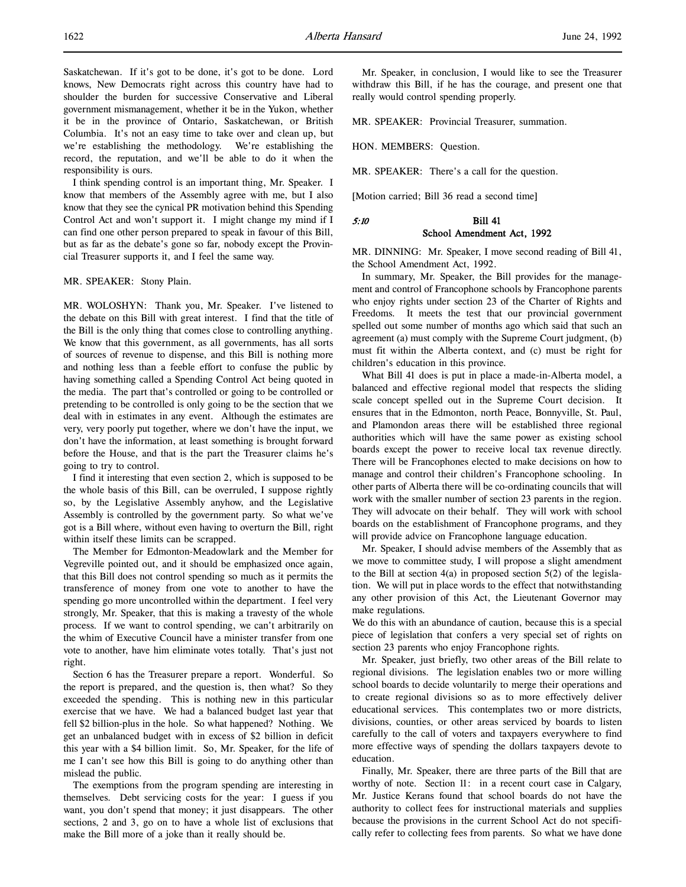Saskatchewan. If it's got to be done, it's got to be done. Lord knows, New Democrats right across this country have had to shoulder the burden for successive Conservative and Liberal government mismanagement, whether it be in the Yukon, whether it be in the province of Ontario, Saskatchewan, or British Columbia. It's not an easy time to take over and clean up, but we're establishing the methodology. We're establishing the record, the reputation, and we'll be able to do it when the responsibility is ours.

I think spending control is an important thing, Mr. Speaker. I know that members of the Assembly agree with me, but I also know that they see the cynical PR motivation behind this Spending Control Act and won't support it. I might change my mind if I can find one other person prepared to speak in favour of this Bill, but as far as the debate's gone so far, nobody except the Provincial Treasurer supports it, and I feel the same way.

#### MR. SPEAKER: Stony Plain.

MR. WOLOSHYN: Thank you, Mr. Speaker. I've listened to the debate on this Bill with great interest. I find that the title of the Bill is the only thing that comes close to controlling anything. We know that this government, as all governments, has all sorts of sources of revenue to dispense, and this Bill is nothing more and nothing less than a feeble effort to confuse the public by having something called a Spending Control Act being quoted in the media. The part that's controlled or going to be controlled or pretending to be controlled is only going to be the section that we deal with in estimates in any event. Although the estimates are very, very poorly put together, where we don't have the input, we don't have the information, at least something is brought forward before the House, and that is the part the Treasurer claims he's going to try to control.

I find it interesting that even section 2, which is supposed to be the whole basis of this Bill, can be overruled, I suppose rightly so, by the Legislative Assembly anyhow, and the Legislative Assembly is controlled by the government party. So what we've got is a Bill where, without even having to overturn the Bill, right within itself these limits can be scrapped.

The Member for Edmonton-Meadowlark and the Member for Vegreville pointed out, and it should be emphasized once again, that this Bill does not control spending so much as it permits the transference of money from one vote to another to have the spending go more uncontrolled within the department. I feel very strongly, Mr. Speaker, that this is making a travesty of the whole process. If we want to control spending, we can't arbitrarily on the whim of Executive Council have a minister transfer from one vote to another, have him eliminate votes totally. That's just not right.

Section 6 has the Treasurer prepare a report. Wonderful. So the report is prepared, and the question is, then what? So they exceeded the spending. This is nothing new in this particular exercise that we have. We had a balanced budget last year that fell \$2 billion-plus in the hole. So what happened? Nothing. We get an unbalanced budget with in excess of \$2 billion in deficit this year with a \$4 billion limit. So, Mr. Speaker, for the life of me I can't see how this Bill is going to do anything other than mislead the public.

The exemptions from the program spending are interesting in themselves. Debt servicing costs for the year: I guess if you want, you don't spend that money; it just disappears. The other sections, 2 and 3, go on to have a whole list of exclusions that make the Bill more of a joke than it really should be.

Mr. Speaker, in conclusion, I would like to see the Treasurer withdraw this Bill, if he has the courage, and present one that really would control spending properly.

MR. SPEAKER: Provincial Treasurer, summation.

HON. MEMBERS: Question.

MR. SPEAKER: There's a call for the question.

[Motion carried; Bill 36 read a second time]

# 5:10 Bill 41 School Amendment Act, 1992

MR. DINNING: Mr. Speaker, I move second reading of Bill 41, the School Amendment Act, 1992.

In summary, Mr. Speaker, the Bill provides for the management and control of Francophone schools by Francophone parents who enjoy rights under section 23 of the Charter of Rights and Freedoms. It meets the test that our provincial government spelled out some number of months ago which said that such an agreement (a) must comply with the Supreme Court judgment, (b) must fit within the Alberta context, and (c) must be right for children's education in this province.

What Bill 41 does is put in place a made-in-Alberta model, a balanced and effective regional model that respects the sliding scale concept spelled out in the Supreme Court decision. It ensures that in the Edmonton, north Peace, Bonnyville, St. Paul, and Plamondon areas there will be established three regional authorities which will have the same power as existing school boards except the power to receive local tax revenue directly. There will be Francophones elected to make decisions on how to manage and control their children's Francophone schooling. In other parts of Alberta there will be co-ordinating councils that will work with the smaller number of section 23 parents in the region. They will advocate on their behalf. They will work with school boards on the establishment of Francophone programs, and they will provide advice on Francophone language education.

Mr. Speaker, I should advise members of the Assembly that as we move to committee study, I will propose a slight amendment to the Bill at section  $4(a)$  in proposed section  $5(2)$  of the legislation. We will put in place words to the effect that notwithstanding any other provision of this Act, the Lieutenant Governor may make regulations.

We do this with an abundance of caution, because this is a special piece of legislation that confers a very special set of rights on section 23 parents who enjoy Francophone rights.

Mr. Speaker, just briefly, two other areas of the Bill relate to regional divisions. The legislation enables two or more willing school boards to decide voluntarily to merge their operations and to create regional divisions so as to more effectively deliver educational services. This contemplates two or more districts, divisions, counties, or other areas serviced by boards to listen carefully to the call of voters and taxpayers everywhere to find more effective ways of spending the dollars taxpayers devote to education.

Finally, Mr. Speaker, there are three parts of the Bill that are worthy of note. Section 11: in a recent court case in Calgary, Mr. Justice Kerans found that school boards do not have the authority to collect fees for instructional materials and supplies because the provisions in the current School Act do not specifically refer to collecting fees from parents. So what we have done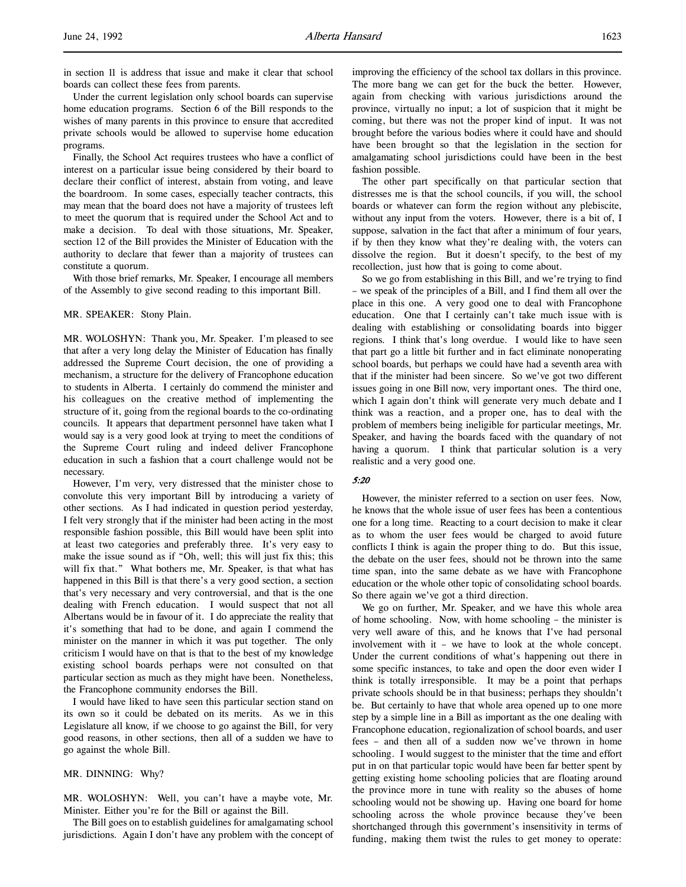in section 11 is address that issue and make it clear that school boards can collect these fees from parents.

Under the current legislation only school boards can supervise home education programs. Section 6 of the Bill responds to the wishes of many parents in this province to ensure that accredited private schools would be allowed to supervise home education programs.

Finally, the School Act requires trustees who have a conflict of interest on a particular issue being considered by their board to declare their conflict of interest, abstain from voting, and leave the boardroom. In some cases, especially teacher contracts, this may mean that the board does not have a majority of trustees left to meet the quorum that is required under the School Act and to make a decision. To deal with those situations, Mr. Speaker, section 12 of the Bill provides the Minister of Education with the authority to declare that fewer than a majority of trustees can constitute a quorum.

With those brief remarks, Mr. Speaker, I encourage all members of the Assembly to give second reading to this important Bill.

#### MR. SPEAKER: Stony Plain.

MR. WOLOSHYN: Thank you, Mr. Speaker. I'm pleased to see that after a very long delay the Minister of Education has finally addressed the Supreme Court decision, the one of providing a mechanism, a structure for the delivery of Francophone education to students in Alberta. I certainly do commend the minister and his colleagues on the creative method of implementing the structure of it, going from the regional boards to the co-ordinating councils. It appears that department personnel have taken what I would say is a very good look at trying to meet the conditions of the Supreme Court ruling and indeed deliver Francophone education in such a fashion that a court challenge would not be necessary.

However, I'm very, very distressed that the minister chose to convolute this very important Bill by introducing a variety of other sections. As I had indicated in question period yesterday, I felt very strongly that if the minister had been acting in the most responsible fashion possible, this Bill would have been split into at least two categories and preferably three. It's very easy to make the issue sound as if "Oh, well; this will just fix this; this will fix that." What bothers me, Mr. Speaker, is that what has happened in this Bill is that there's a very good section, a section that's very necessary and very controversial, and that is the one dealing with French education. I would suspect that not all Albertans would be in favour of it. I do appreciate the reality that it's something that had to be done, and again I commend the minister on the manner in which it was put together. The only criticism I would have on that is that to the best of my knowledge existing school boards perhaps were not consulted on that particular section as much as they might have been. Nonetheless, the Francophone community endorses the Bill.

I would have liked to have seen this particular section stand on its own so it could be debated on its merits. As we in this Legislature all know, if we choose to go against the Bill, for very good reasons, in other sections, then all of a sudden we have to go against the whole Bill.

# MR. DINNING: Why?

MR. WOLOSHYN: Well, you can't have a maybe vote, Mr. Minister. Either you're for the Bill or against the Bill.

The Bill goes on to establish guidelines for amalgamating school jurisdictions. Again I don't have any problem with the concept of improving the efficiency of the school tax dollars in this province. The more bang we can get for the buck the better. However, again from checking with various jurisdictions around the province, virtually no input; a lot of suspicion that it might be coming, but there was not the proper kind of input. It was not brought before the various bodies where it could have and should have been brought so that the legislation in the section for amalgamating school jurisdictions could have been in the best fashion possible.

The other part specifically on that particular section that distresses me is that the school councils, if you will, the school boards or whatever can form the region without any plebiscite, without any input from the voters. However, there is a bit of, I suppose, salvation in the fact that after a minimum of four years, if by then they know what they're dealing with, the voters can dissolve the region. But it doesn't specify, to the best of my recollection, just how that is going to come about.

So we go from establishing in this Bill, and we're trying to find – we speak of the principles of a Bill, and I find them all over the place in this one. A very good one to deal with Francophone education. One that I certainly can't take much issue with is dealing with establishing or consolidating boards into bigger regions. I think that's long overdue. I would like to have seen that part go a little bit further and in fact eliminate nonoperating school boards, but perhaps we could have had a seventh area with that if the minister had been sincere. So we've got two different issues going in one Bill now, very important ones. The third one, which I again don't think will generate very much debate and I think was a reaction, and a proper one, has to deal with the problem of members being ineligible for particular meetings, Mr. Speaker, and having the boards faced with the quandary of not having a quorum. I think that particular solution is a very realistic and a very good one.

# 5:20

However, the minister referred to a section on user fees. Now, he knows that the whole issue of user fees has been a contentious one for a long time. Reacting to a court decision to make it clear as to whom the user fees would be charged to avoid future conflicts I think is again the proper thing to do. But this issue, the debate on the user fees, should not be thrown into the same time span, into the same debate as we have with Francophone education or the whole other topic of consolidating school boards. So there again we've got a third direction.

We go on further, Mr. Speaker, and we have this whole area of home schooling. Now, with home schooling – the minister is very well aware of this, and he knows that I've had personal involvement with it – we have to look at the whole concept. Under the current conditions of what's happening out there in some specific instances, to take and open the door even wider I think is totally irresponsible. It may be a point that perhaps private schools should be in that business; perhaps they shouldn't be. But certainly to have that whole area opened up to one more step by a simple line in a Bill as important as the one dealing with Francophone education, regionalization of school boards, and user fees – and then all of a sudden now we've thrown in home schooling. I would suggest to the minister that the time and effort put in on that particular topic would have been far better spent by getting existing home schooling policies that are floating around the province more in tune with reality so the abuses of home schooling would not be showing up. Having one board for home schooling across the whole province because they've been shortchanged through this government's insensitivity in terms of funding, making them twist the rules to get money to operate: